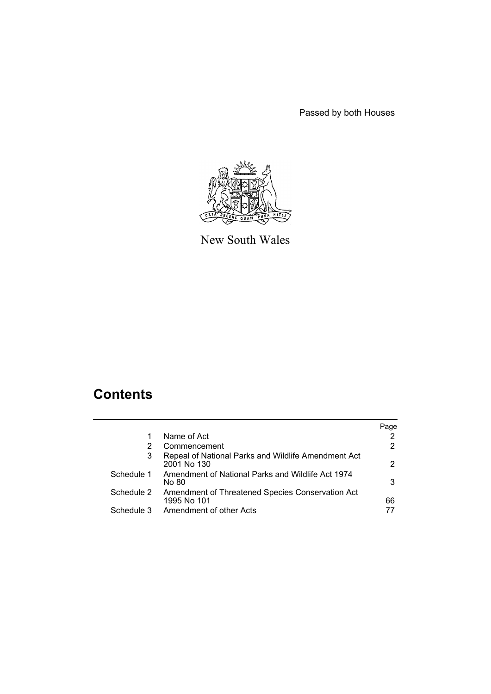Passed by both Houses



New South Wales

# **Contents**

|            |                                                                    | Page |
|------------|--------------------------------------------------------------------|------|
|            | Name of Act                                                        |      |
| 2          | Commencement                                                       |      |
| 3          | Repeal of National Parks and Wildlife Amendment Act<br>2001 No 130 | 2    |
| Schedule 1 | Amendment of National Parks and Wildlife Act 1974<br>No 80         | 3    |
| Schedule 2 | Amendment of Threatened Species Conservation Act<br>1995 No 101    | 66   |
| Schedule 3 | Amendment of other Acts                                            |      |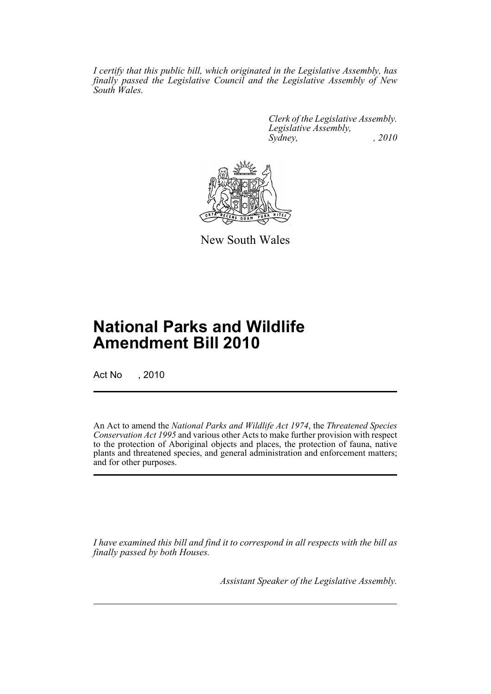*I certify that this public bill, which originated in the Legislative Assembly, has finally passed the Legislative Council and the Legislative Assembly of New South Wales.*

> *Clerk of the Legislative Assembly. Legislative Assembly, Sydney, , 2010*



New South Wales

# **National Parks and Wildlife Amendment Bill 2010**

Act No , 2010

An Act to amend the *National Parks and Wildlife Act 1974*, the *Threatened Species Conservation Act 1995* and various other Acts to make further provision with respect to the protection of Aboriginal objects and places, the protection of fauna, native plants and threatened species, and general administration and enforcement matters; and for other purposes.

*I have examined this bill and find it to correspond in all respects with the bill as finally passed by both Houses.*

*Assistant Speaker of the Legislative Assembly.*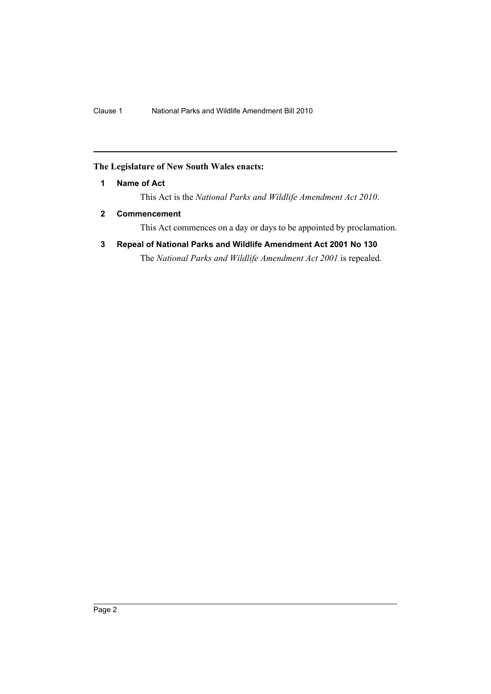# <span id="page-2-0"></span>**The Legislature of New South Wales enacts:**

# **1 Name of Act**

This Act is the *National Parks and Wildlife Amendment Act 2010*.

# <span id="page-2-1"></span>**2 Commencement**

This Act commences on a day or days to be appointed by proclamation.

<span id="page-2-2"></span>**3 Repeal of National Parks and Wildlife Amendment Act 2001 No 130**

The *National Parks and Wildlife Amendment Act 2001* is repealed.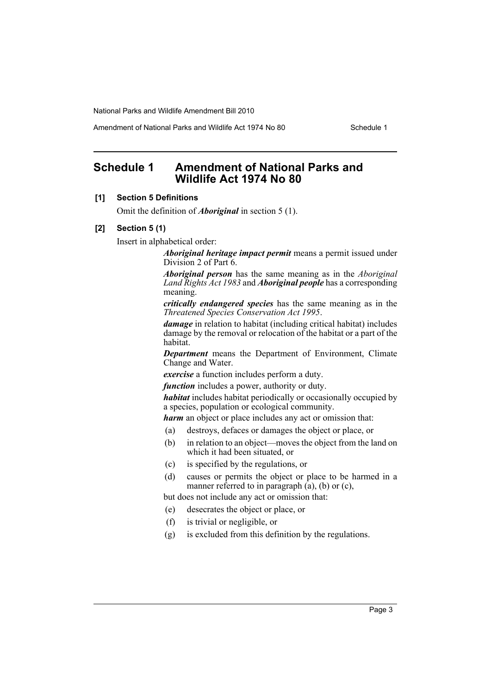Amendment of National Parks and Wildlife Act 1974 No 80 Schedule 1

# <span id="page-3-0"></span>**Schedule 1 Amendment of National Parks and Wildlife Act 1974 No 80**

# **[1] Section 5 Definitions**

Omit the definition of *Aboriginal* in section 5 (1).

# **[2] Section 5 (1)**

Insert in alphabetical order:

*Aboriginal heritage impact permit* means a permit issued under Division 2 of Part 6.

*Aboriginal person* has the same meaning as in the *Aboriginal Land Rights Act 1983* and *Aboriginal people* has a corresponding meaning.

*critically endangered species* has the same meaning as in the *Threatened Species Conservation Act 1995*.

*damage* in relation to habitat (including critical habitat) includes damage by the removal or relocation of the habitat or a part of the habitat.

*Department* means the Department of Environment, Climate Change and Water.

*exercise* a function includes perform a duty.

*function* includes a power, authority or duty.

*habitat* includes habitat periodically or occasionally occupied by a species, population or ecological community.

*harm* an object or place includes any act or omission that:

- (a) destroys, defaces or damages the object or place, or
- (b) in relation to an object—moves the object from the land on which it had been situated, or
- (c) is specified by the regulations, or
- (d) causes or permits the object or place to be harmed in a manner referred to in paragraph  $(a)$ ,  $(b)$  or  $(c)$ ,

but does not include any act or omission that:

- (e) desecrates the object or place, or
- (f) is trivial or negligible, or
- (g) is excluded from this definition by the regulations.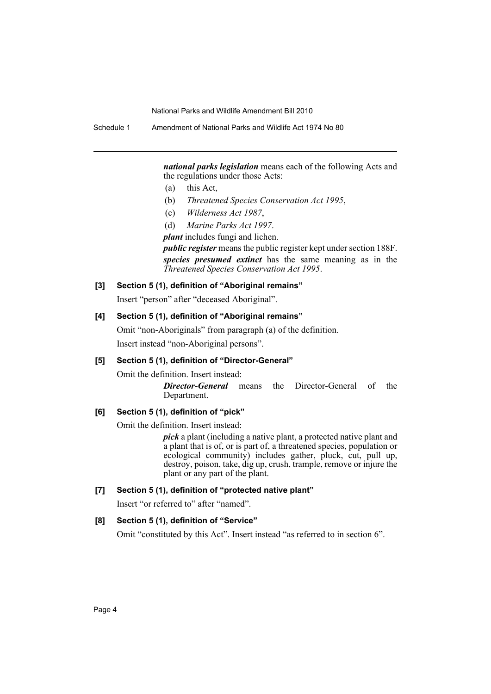Schedule 1 Amendment of National Parks and Wildlife Act 1974 No 80

*national parks legislation* means each of the following Acts and the regulations under those Acts:

- (a) this Act,
- (b) *Threatened Species Conservation Act 1995*,
- (c) *Wilderness Act 1987*,
- (d) *Marine Parks Act 1997*.

*plant* includes fungi and lichen.

*public register* means the public register kept under section 188F. *species presumed extinct* has the same meaning as in the *Threatened Species Conservation Act 1995*.

# **[3] Section 5 (1), definition of "Aboriginal remains"**

Insert "person" after "deceased Aboriginal".

# **[4] Section 5 (1), definition of "Aboriginal remains"**

Omit "non-Aboriginals" from paragraph (a) of the definition. Insert instead "non-Aboriginal persons".

# **[5] Section 5 (1), definition of "Director-General"**

Omit the definition. Insert instead:

*Director-General* means the Director-General of the Department.

# **[6] Section 5 (1), definition of "pick"**

Omit the definition. Insert instead:

*pick* a plant (including a native plant, a protected native plant and a plant that is of, or is part of, a threatened species, population or ecological community) includes gather, pluck, cut, pull up, destroy, poison, take, dig up, crush, trample, remove or injure the plant or any part of the plant.

# **[7] Section 5 (1), definition of "protected native plant"**

Insert "or referred to" after "named".

# **[8] Section 5 (1), definition of "Service"**

Omit "constituted by this Act". Insert instead "as referred to in section 6".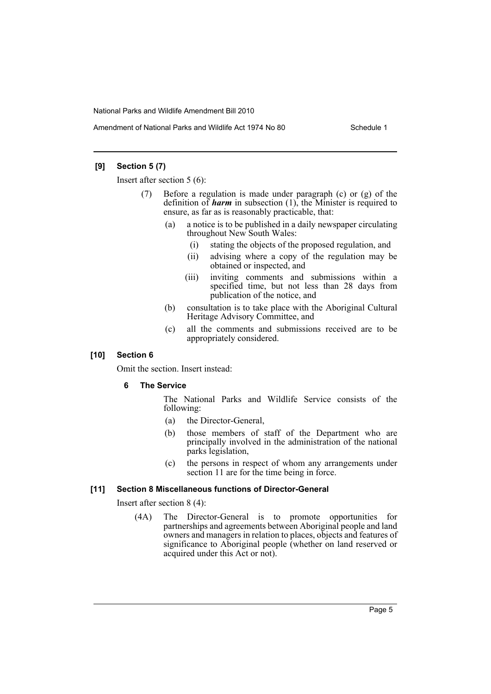# **[9] Section 5 (7)**

Insert after section 5 (6):

- Before a regulation is made under paragraph  $(c)$  or  $(g)$  of the definition of *harm* in subsection (1), the Minister is required to ensure, as far as is reasonably practicable, that:
	- (a) a notice is to be published in a daily newspaper circulating throughout New South Wales:
		- (i) stating the objects of the proposed regulation, and
		- (ii) advising where a copy of the regulation may be obtained or inspected, and
		- (iii) inviting comments and submissions within a specified time, but not less than 28 days from publication of the notice, and
	- (b) consultation is to take place with the Aboriginal Cultural Heritage Advisory Committee, and
	- (c) all the comments and submissions received are to be appropriately considered.

# **[10] Section 6**

Omit the section. Insert instead:

# **6 The Service**

The National Parks and Wildlife Service consists of the following:

- (a) the Director-General,
- (b) those members of staff of the Department who are principally involved in the administration of the national parks legislation,
- (c) the persons in respect of whom any arrangements under section 11 are for the time being in force.

# **[11] Section 8 Miscellaneous functions of Director-General**

Insert after section 8 (4):

(4A) The Director-General is to promote opportunities for partnerships and agreements between Aboriginal people and land owners and managers in relation to places, objects and features of significance to Aboriginal people (whether on land reserved or acquired under this Act or not).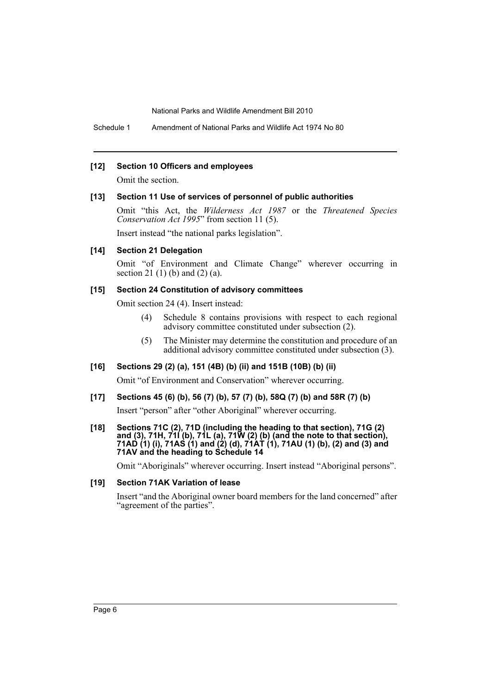Schedule 1 Amendment of National Parks and Wildlife Act 1974 No 80

#### **[12] Section 10 Officers and employees**

Omit the section.

#### **[13] Section 11 Use of services of personnel of public authorities**

Omit "this Act, the *Wilderness Act 1987* or the *Threatened Species Conservation Act 1995*" from section 11 (5).

Insert instead "the national parks legislation".

# **[14] Section 21 Delegation**

Omit "of Environment and Climate Change" wherever occurring in section 21 $(1)$  $(b)$  and  $(2)$  $(a)$ .

# **[15] Section 24 Constitution of advisory committees**

Omit section 24 (4). Insert instead:

- (4) Schedule 8 contains provisions with respect to each regional advisory committee constituted under subsection (2).
- (5) The Minister may determine the constitution and procedure of an additional advisory committee constituted under subsection (3).

# **[16] Sections 29 (2) (a), 151 (4B) (b) (ii) and 151B (10B) (b) (ii)**

Omit "of Environment and Conservation" wherever occurring.

# **[17] Sections 45 (6) (b), 56 (7) (b), 57 (7) (b), 58Q (7) (b) and 58R (7) (b)**

Insert "person" after "other Aboriginal" wherever occurring.

#### **[18] Sections 71C (2), 71D (including the heading to that section), 71G (2) and (3), 71H, 71I (b), 71L (a), 71W (2) (b) (and the note to that section), 71AD (1) (i), 71AS (1) and (2) (d), 71AT (1), 71AU (1) (b), (2) and (3) and 71AV and the heading to Schedule 14**

Omit "Aboriginals" wherever occurring. Insert instead "Aboriginal persons".

# **[19] Section 71AK Variation of lease**

Insert "and the Aboriginal owner board members for the land concerned" after "agreement of the parties".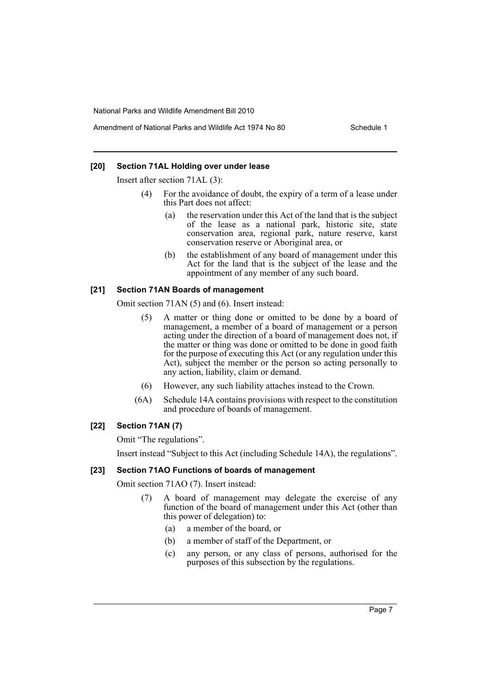# Amendment of National Parks and Wildlife Act 1974 No 80 Schedule 1

# **[20] Section 71AL Holding over under lease**

Insert after section 71AL (3):

- (4) For the avoidance of doubt, the expiry of a term of a lease under this Part does not affect:
	- (a) the reservation under this Act of the land that is the subject of the lease as a national park, historic site, state conservation area, regional park, nature reserve, karst conservation reserve or Aboriginal area, or
	- (b) the establishment of any board of management under this Act for the land that is the subject of the lease and the appointment of any member of any such board.

# **[21] Section 71AN Boards of management**

Omit section 71AN (5) and (6). Insert instead:

- (5) A matter or thing done or omitted to be done by a board of management, a member of a board of management or a person acting under the direction of a board of management does not, if the matter or thing was done or omitted to be done in good faith for the purpose of executing this Act (or any regulation under this Act), subject the member or the person so acting personally to any action, liability, claim or demand.
- (6) However, any such liability attaches instead to the Crown.
- (6A) Schedule 14A contains provisions with respect to the constitution and procedure of boards of management.

# **[22] Section 71AN (7)**

Omit "The regulations".

Insert instead "Subject to this Act (including Schedule 14A), the regulations".

#### **[23] Section 71AO Functions of boards of management**

Omit section 71AO (7). Insert instead:

- (7) A board of management may delegate the exercise of any function of the board of management under this Act (other than this power of delegation) to:
	- (a) a member of the board, or
	- (b) a member of staff of the Department, or
	- (c) any person, or any class of persons, authorised for the purposes of this subsection by the regulations.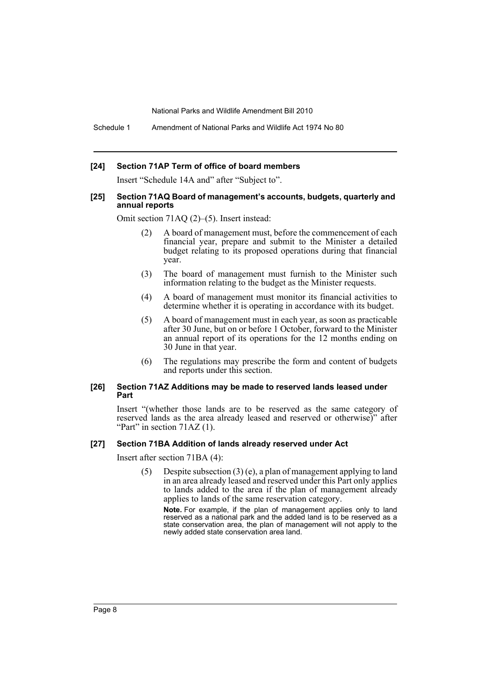Schedule 1 Amendment of National Parks and Wildlife Act 1974 No 80

# **[24] Section 71AP Term of office of board members**

Insert "Schedule 14A and" after "Subject to".

#### **[25] Section 71AQ Board of management's accounts, budgets, quarterly and annual reports**

Omit section 71AQ (2)–(5). Insert instead:

- (2) A board of management must, before the commencement of each financial year, prepare and submit to the Minister a detailed budget relating to its proposed operations during that financial year.
- (3) The board of management must furnish to the Minister such information relating to the budget as the Minister requests.
- (4) A board of management must monitor its financial activities to determine whether it is operating in accordance with its budget.
- (5) A board of management must in each year, as soon as practicable after 30 June, but on or before 1 October, forward to the Minister an annual report of its operations for the 12 months ending on 30 June in that year.
- (6) The regulations may prescribe the form and content of budgets and reports under this section.

#### **[26] Section 71AZ Additions may be made to reserved lands leased under Part**

Insert "(whether those lands are to be reserved as the same category of reserved lands as the area already leased and reserved or otherwise)" after "Part" in section  $71AZ(1)$ .

#### **[27] Section 71BA Addition of lands already reserved under Act**

Insert after section 71BA (4):

(5) Despite subsection (3) (e), a plan of management applying to land in an area already leased and reserved under this Part only applies to lands added to the area if the plan of management already applies to lands of the same reservation category.

**Note.** For example, if the plan of management applies only to land reserved as a national park and the added land is to be reserved as a state conservation area, the plan of management will not apply to the newly added state conservation area land.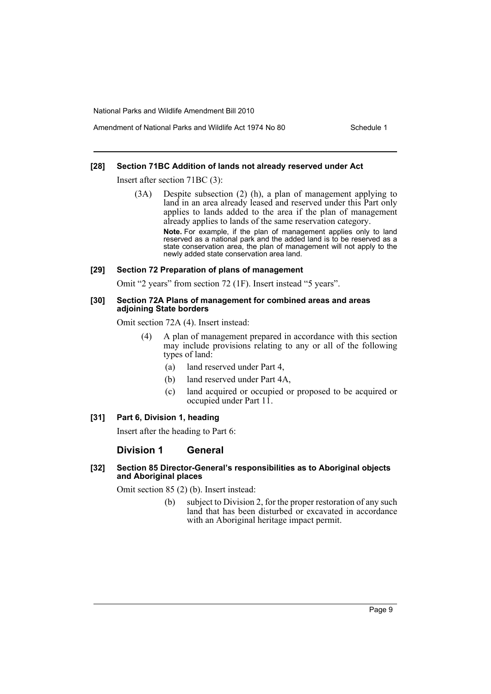# Amendment of National Parks and Wildlife Act 1974 No 80 Schedule 1

# **[28] Section 71BC Addition of lands not already reserved under Act**

Insert after section 71BC (3):

(3A) Despite subsection (2) (h), a plan of management applying to land in an area already leased and reserved under this Part only applies to lands added to the area if the plan of management already applies to lands of the same reservation category. **Note.** For example, if the plan of management applies only to land reserved as a national park and the added land is to be reserved as a state conservation area, the plan of management will not apply to the newly added state conservation area land.

#### **[29] Section 72 Preparation of plans of management**

Omit "2 years" from section 72 (1F). Insert instead "5 years".

#### **[30] Section 72A Plans of management for combined areas and areas adjoining State borders**

Omit section 72A (4). Insert instead:

- (4) A plan of management prepared in accordance with this section may include provisions relating to any or all of the following types of land:
	- (a) land reserved under Part 4,
	- (b) land reserved under Part 4A,
	- (c) land acquired or occupied or proposed to be acquired or occupied under Part 11.

# **[31] Part 6, Division 1, heading**

Insert after the heading to Part 6:

# **Division 1 General**

# **[32] Section 85 Director-General's responsibilities as to Aboriginal objects and Aboriginal places**

Omit section 85 (2) (b). Insert instead:

(b) subject to Division 2, for the proper restoration of any such land that has been disturbed or excavated in accordance with an Aboriginal heritage impact permit.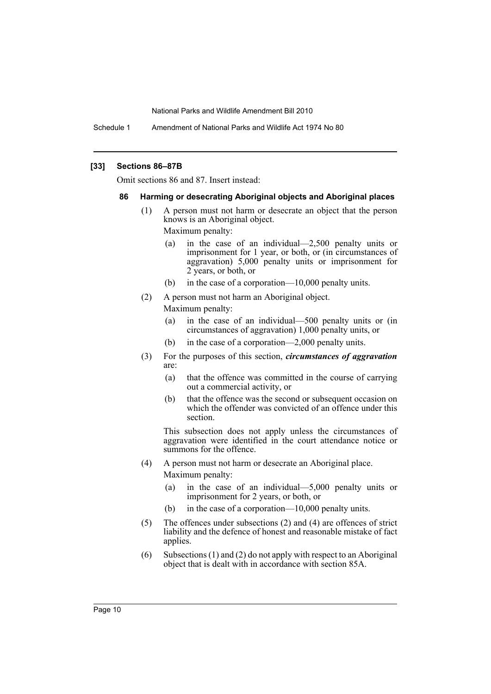Schedule 1 Amendment of National Parks and Wildlife Act 1974 No 80

#### **[33] Sections 86–87B**

Omit sections 86 and 87. Insert instead:

#### **86 Harming or desecrating Aboriginal objects and Aboriginal places**

(1) A person must not harm or desecrate an object that the person knows is an Aboriginal object.

Maximum penalty:

- (a) in the case of an individual—2,500 penalty units or imprisonment for 1 year, or both, or (in circumstances of aggravation) 5,000 penalty units or imprisonment for 2 years, or both, or
- (b) in the case of a corporation—10,000 penalty units.
- (2) A person must not harm an Aboriginal object.

Maximum penalty:

- (a) in the case of an individual—500 penalty units or (in circumstances of aggravation) 1,000 penalty units, or
- (b) in the case of a corporation—2,000 penalty units.
- (3) For the purposes of this section, *circumstances of aggravation* are:
	- (a) that the offence was committed in the course of carrying out a commercial activity, or
	- (b) that the offence was the second or subsequent occasion on which the offender was convicted of an offence under this section.

This subsection does not apply unless the circumstances of aggravation were identified in the court attendance notice or summons for the offence.

- (4) A person must not harm or desecrate an Aboriginal place. Maximum penalty:
	- (a) in the case of an individual—5,000 penalty units or imprisonment for 2 years, or both, or
	- (b) in the case of a corporation—10,000 penalty units.
- (5) The offences under subsections (2) and (4) are offences of strict liability and the defence of honest and reasonable mistake of fact applies.
- (6) Subsections (1) and (2) do not apply with respect to an Aboriginal object that is dealt with in accordance with section 85A.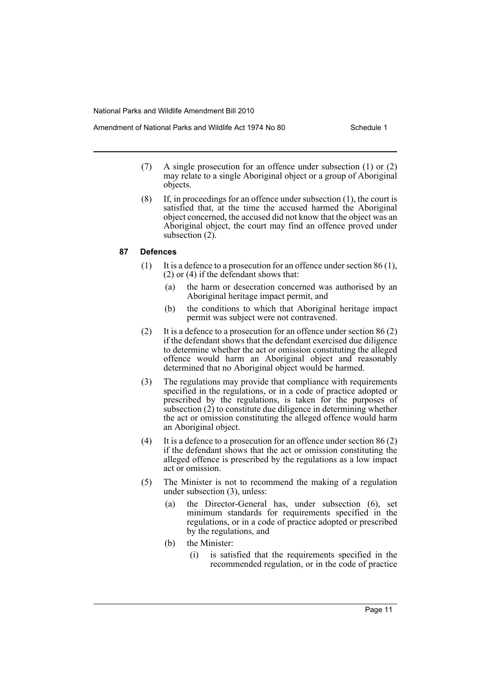- (7) A single prosecution for an offence under subsection (1) or (2) may relate to a single Aboriginal object or a group of Aboriginal objects.
- (8) If, in proceedings for an offence under subsection (1), the court is satisfied that, at the time the accused harmed the Aboriginal object concerned, the accused did not know that the object was an Aboriginal object, the court may find an offence proved under subsection  $(2)$ .

# **87 Defences**

- (1) It is a defence to a prosecution for an offence under section 86 (1), (2) or (4) if the defendant shows that:
	- (a) the harm or desecration concerned was authorised by an Aboriginal heritage impact permit, and
	- (b) the conditions to which that Aboriginal heritage impact permit was subject were not contravened.
- (2) It is a defence to a prosecution for an offence under section 86 (2) if the defendant shows that the defendant exercised due diligence to determine whether the act or omission constituting the alleged offence would harm an Aboriginal object and reasonably determined that no Aboriginal object would be harmed.
- (3) The regulations may provide that compliance with requirements specified in the regulations, or in a code of practice adopted or prescribed by the regulations, is taken for the purposes of subsection (2) to constitute due diligence in determining whether the act or omission constituting the alleged offence would harm an Aboriginal object.
- (4) It is a defence to a prosecution for an offence under section 86 (2) if the defendant shows that the act or omission constituting the alleged offence is prescribed by the regulations as a low impact act or omission.
- (5) The Minister is not to recommend the making of a regulation under subsection (3), unless:
	- (a) the Director-General has, under subsection (6), set minimum standards for requirements specified in the regulations, or in a code of practice adopted or prescribed by the regulations, and
	- (b) the Minister:
		- (i) is satisfied that the requirements specified in the recommended regulation, or in the code of practice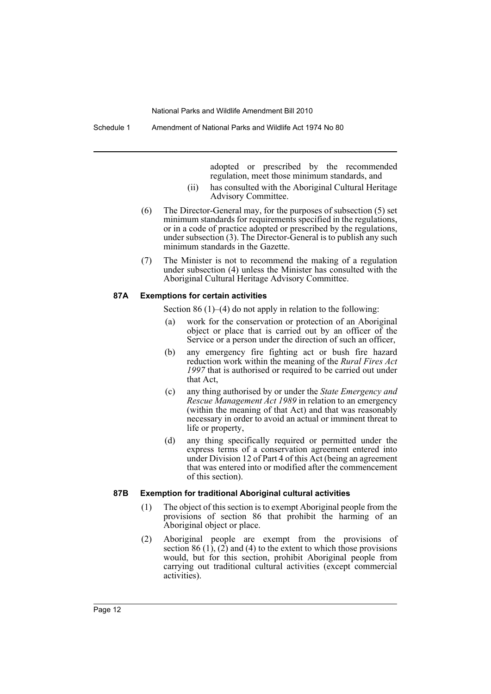Schedule 1 Amendment of National Parks and Wildlife Act 1974 No 80

adopted or prescribed by the recommended regulation, meet those minimum standards, and

- (ii) has consulted with the Aboriginal Cultural Heritage Advisory Committee.
- (6) The Director-General may, for the purposes of subsection (5) set minimum standards for requirements specified in the regulations, or in a code of practice adopted or prescribed by the regulations, under subsection (3). The Director-General is to publish any such minimum standards in the Gazette.
- (7) The Minister is not to recommend the making of a regulation under subsection (4) unless the Minister has consulted with the Aboriginal Cultural Heritage Advisory Committee.

#### **87A Exemptions for certain activities**

Section 86 (1)–(4) do not apply in relation to the following:

- (a) work for the conservation or protection of an Aboriginal object or place that is carried out by an officer of the Service or a person under the direction of such an officer,
- (b) any emergency fire fighting act or bush fire hazard reduction work within the meaning of the *Rural Fires Act 1997* that is authorised or required to be carried out under that Act,
- (c) any thing authorised by or under the *State Emergency and Rescue Management Act 1989* in relation to an emergency (within the meaning of that Act) and that was reasonably necessary in order to avoid an actual or imminent threat to life or property,
- (d) any thing specifically required or permitted under the express terms of a conservation agreement entered into under Division 12 of Part 4 of this Act (being an agreement that was entered into or modified after the commencement of this section).

#### **87B Exemption for traditional Aboriginal cultural activities**

- (1) The object of this section is to exempt Aboriginal people from the provisions of section 86 that prohibit the harming of an Aboriginal object or place.
- (2) Aboriginal people are exempt from the provisions of section 86  $(1)$ ,  $(2)$  and  $(4)$  to the extent to which those provisions would, but for this section, prohibit Aboriginal people from carrying out traditional cultural activities (except commercial activities).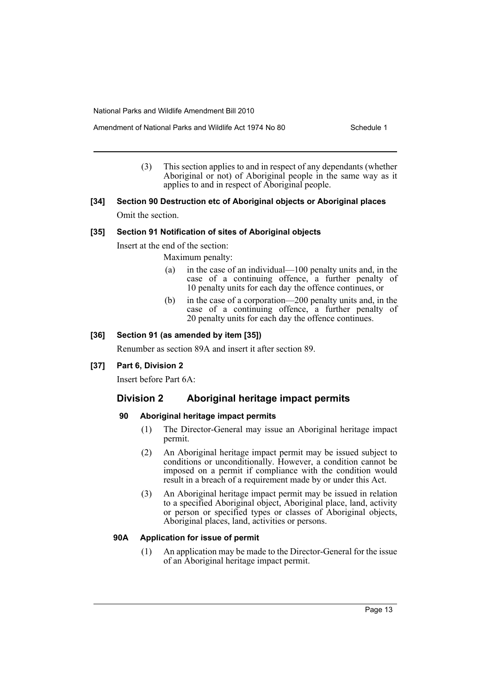- Amendment of National Parks and Wildlife Act 1974 No 80 Schedule 1
	- (3) This section applies to and in respect of any dependants (whether Aboriginal or not) of Aboriginal people in the same way as it applies to and in respect of Aboriginal people.
- **[34] Section 90 Destruction etc of Aboriginal objects or Aboriginal places** Omit the section.

# **[35] Section 91 Notification of sites of Aboriginal objects**

Insert at the end of the section:

Maximum penalty:

- (a) in the case of an individual—100 penalty units and, in the case of a continuing offence, a further penalty of 10 penalty units for each day the offence continues, or
- (b) in the case of a corporation—200 penalty units and, in the case of a continuing offence, a further penalty of 20 penalty units for each day the offence continues.

# **[36] Section 91 (as amended by item [35])**

Renumber as section 89A and insert it after section 89.

# **[37] Part 6, Division 2**

Insert before Part 6A:

# **Division 2 Aboriginal heritage impact permits**

# **90 Aboriginal heritage impact permits**

- (1) The Director-General may issue an Aboriginal heritage impact permit.
- (2) An Aboriginal heritage impact permit may be issued subject to conditions or unconditionally. However, a condition cannot be imposed on a permit if compliance with the condition would result in a breach of a requirement made by or under this Act.
- (3) An Aboriginal heritage impact permit may be issued in relation to a specified Aboriginal object, Aboriginal place, land, activity or person or specified types or classes of Aboriginal objects, Aboriginal places, land, activities or persons.

# **90A Application for issue of permit**

(1) An application may be made to the Director-General for the issue of an Aboriginal heritage impact permit.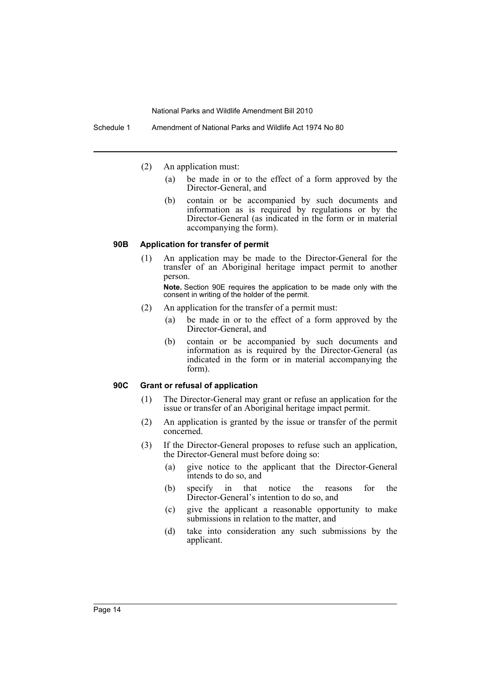Schedule 1 Amendment of National Parks and Wildlife Act 1974 No 80

(2) An application must:

- (a) be made in or to the effect of a form approved by the Director-General, and
- (b) contain or be accompanied by such documents and information as is required by regulations or by the Director-General (as indicated in the form or in material accompanying the form).

#### **90B Application for transfer of permit**

(1) An application may be made to the Director-General for the transfer of an Aboriginal heritage impact permit to another person.

**Note.** Section 90E requires the application to be made only with the consent in writing of the holder of the permit.

- (2) An application for the transfer of a permit must:
	- (a) be made in or to the effect of a form approved by the Director-General, and
	- (b) contain or be accompanied by such documents and information as is required by the Director-General (as indicated in the form or in material accompanying the form).

# **90C Grant or refusal of application**

- (1) The Director-General may grant or refuse an application for the issue or transfer of an Aboriginal heritage impact permit.
- (2) An application is granted by the issue or transfer of the permit concerned.
- (3) If the Director-General proposes to refuse such an application, the Director-General must before doing so:
	- (a) give notice to the applicant that the Director-General intends to do so, and
	- (b) specify in that notice the reasons for the Director-General's intention to do so, and
	- (c) give the applicant a reasonable opportunity to make submissions in relation to the matter, and
	- (d) take into consideration any such submissions by the applicant.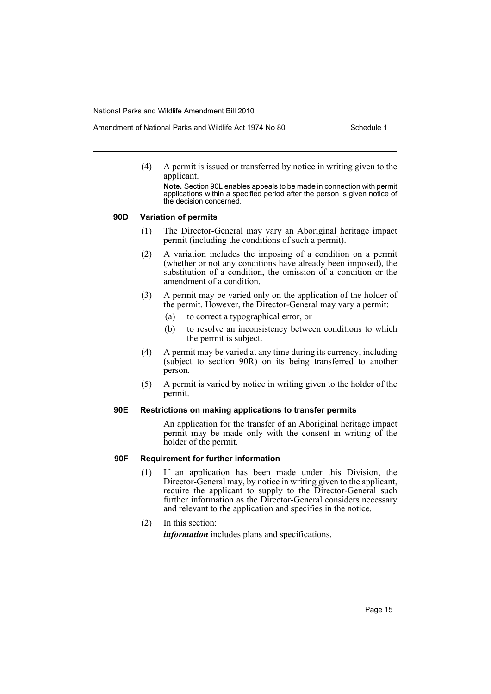- Amendment of National Parks and Wildlife Act 1974 No 80 Schedule 1
	- (4) A permit is issued or transferred by notice in writing given to the applicant.

**Note.** Section 90L enables appeals to be made in connection with permit applications within a specified period after the person is given notice of the decision concerned.

# **90D Variation of permits**

- (1) The Director-General may vary an Aboriginal heritage impact permit (including the conditions of such a permit).
- (2) A variation includes the imposing of a condition on a permit (whether or not any conditions have already been imposed), the substitution of a condition, the omission of a condition or the amendment of a condition.
- (3) A permit may be varied only on the application of the holder of the permit. However, the Director-General may vary a permit:
	- (a) to correct a typographical error, or
	- (b) to resolve an inconsistency between conditions to which the permit is subject.
- (4) A permit may be varied at any time during its currency, including (subject to section 90R) on its being transferred to another person.
- (5) A permit is varied by notice in writing given to the holder of the permit.

# **90E Restrictions on making applications to transfer permits**

An application for the transfer of an Aboriginal heritage impact permit may be made only with the consent in writing of the holder of the permit.

# **90F Requirement for further information**

(1) If an application has been made under this Division, the Director-General may, by notice in writing given to the applicant, require the applicant to supply to the Director-General such further information as the Director-General considers necessary and relevant to the application and specifies in the notice.

# (2) In this section: *information* includes plans and specifications.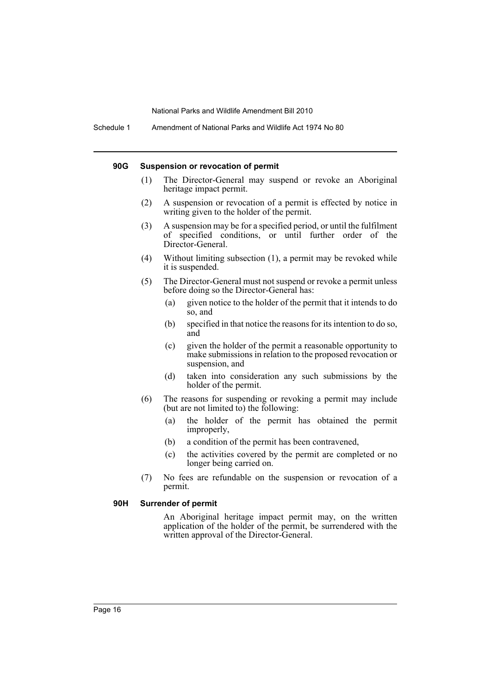#### **90G Suspension or revocation of permit**

- (1) The Director-General may suspend or revoke an Aboriginal heritage impact permit.
- (2) A suspension or revocation of a permit is effected by notice in writing given to the holder of the permit.
- (3) A suspension may be for a specified period, or until the fulfilment of specified conditions, or until further order of the Director-General.
- (4) Without limiting subsection (1), a permit may be revoked while it is suspended.
- (5) The Director-General must not suspend or revoke a permit unless before doing so the Director-General has:
	- (a) given notice to the holder of the permit that it intends to do so, and
	- (b) specified in that notice the reasons for its intention to do so, and
	- (c) given the holder of the permit a reasonable opportunity to make submissions in relation to the proposed revocation or suspension, and
	- (d) taken into consideration any such submissions by the holder of the permit.
- (6) The reasons for suspending or revoking a permit may include (but are not limited to) the following:
	- (a) the holder of the permit has obtained the permit improperly,
	- (b) a condition of the permit has been contravened,
	- (c) the activities covered by the permit are completed or no longer being carried on.
- (7) No fees are refundable on the suspension or revocation of a permit.

# **90H Surrender of permit**

An Aboriginal heritage impact permit may, on the written application of the holder of the permit, be surrendered with the written approval of the Director-General.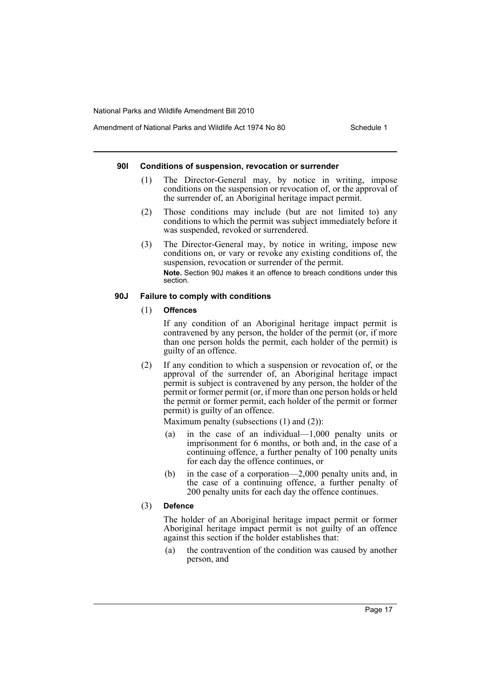# Amendment of National Parks and Wildlife Act 1974 No 80 Schedule 1

#### **90I Conditions of suspension, revocation or surrender**

- (1) The Director-General may, by notice in writing, impose conditions on the suspension or revocation of, or the approval of the surrender of, an Aboriginal heritage impact permit.
- (2) Those conditions may include (but are not limited to) any conditions to which the permit was subject immediately before it was suspended, revoked or surrendered.
- (3) The Director-General may, by notice in writing, impose new conditions on, or vary or revoke any existing conditions of, the suspension, revocation or surrender of the permit. **Note.** Section 90J makes it an offence to breach conditions under this section.

# **90J Failure to comply with conditions**

# (1) **Offences**

If any condition of an Aboriginal heritage impact permit is contravened by any person, the holder of the permit (or, if more than one person holds the permit, each holder of the permit) is guilty of an offence.

(2) If any condition to which a suspension or revocation of, or the approval of the surrender of, an Aboriginal heritage impact permit is subject is contravened by any person, the holder of the permit or former permit (or, if more than one person holds or held the permit or former permit, each holder of the permit or former permit) is guilty of an offence.

Maximum penalty (subsections  $(1)$  and  $(2)$ ):

- (a) in the case of an individual—1,000 penalty units or imprisonment for 6 months, or both and, in the case of a continuing offence, a further penalty of 100 penalty units for each day the offence continues, or
- (b) in the case of a corporation—2,000 penalty units and, in the case of a continuing offence, a further penalty of 200 penalty units for each day the offence continues.

# (3) **Defence**

The holder of an Aboriginal heritage impact permit or former Aboriginal heritage impact permit is not guilty of an offence against this section if the holder establishes that:

(a) the contravention of the condition was caused by another person, and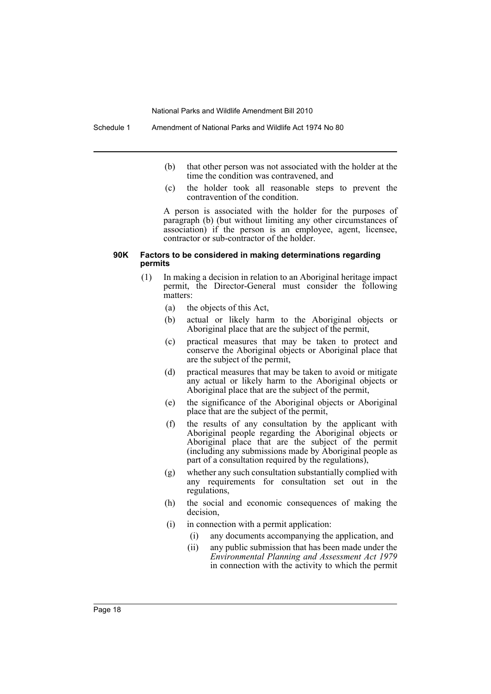- (b) that other person was not associated with the holder at the time the condition was contravened, and
- (c) the holder took all reasonable steps to prevent the contravention of the condition.

A person is associated with the holder for the purposes of paragraph (b) (but without limiting any other circumstances of association) if the person is an employee, agent, licensee, contractor or sub-contractor of the holder.

#### **90K Factors to be considered in making determinations regarding permits**

- (1) In making a decision in relation to an Aboriginal heritage impact permit, the Director-General must consider the following matters:
	- (a) the objects of this Act,
	- (b) actual or likely harm to the Aboriginal objects or Aboriginal place that are the subject of the permit,
	- (c) practical measures that may be taken to protect and conserve the Aboriginal objects or Aboriginal place that are the subject of the permit,
	- (d) practical measures that may be taken to avoid or mitigate any actual or likely harm to the Aboriginal objects or Aboriginal place that are the subject of the permit,
	- (e) the significance of the Aboriginal objects or Aboriginal place that are the subject of the permit,
	- (f) the results of any consultation by the applicant with Aboriginal people regarding the Aboriginal objects or Aboriginal place that are the subject of the permit (including any submissions made by Aboriginal people as part of a consultation required by the regulations),
	- (g) whether any such consultation substantially complied with any requirements for consultation set out in the regulations,
	- (h) the social and economic consequences of making the decision,
	- (i) in connection with a permit application:
		- (i) any documents accompanying the application, and
		- (ii) any public submission that has been made under the *Environmental Planning and Assessment Act 1979* in connection with the activity to which the permit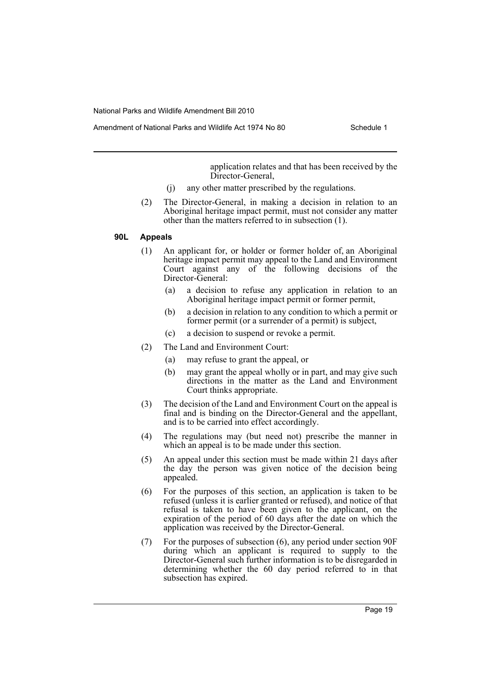application relates and that has been received by the Director-General,

- (j) any other matter prescribed by the regulations.
- (2) The Director-General, in making a decision in relation to an Aboriginal heritage impact permit, must not consider any matter other than the matters referred to in subsection (1).

# **90L Appeals**

- (1) An applicant for, or holder or former holder of, an Aboriginal heritage impact permit may appeal to the Land and Environment Court against any of the following decisions of the Director-General:
	- (a) a decision to refuse any application in relation to an Aboriginal heritage impact permit or former permit,
	- (b) a decision in relation to any condition to which a permit or former permit (or a surrender of a permit) is subject,
	- (c) a decision to suspend or revoke a permit.
- (2) The Land and Environment Court:
	- (a) may refuse to grant the appeal, or
	- (b) may grant the appeal wholly or in part, and may give such directions in the matter as the Land and Environment Court thinks appropriate.
- (3) The decision of the Land and Environment Court on the appeal is final and is binding on the Director-General and the appellant, and is to be carried into effect accordingly.
- (4) The regulations may (but need not) prescribe the manner in which an appeal is to be made under this section.
- (5) An appeal under this section must be made within 21 days after the day the person was given notice of the decision being appealed.
- (6) For the purposes of this section, an application is taken to be refused (unless it is earlier granted or refused), and notice of that refusal is taken to have been given to the applicant, on the expiration of the period of 60 days after the date on which the application was received by the Director-General.
- (7) For the purposes of subsection (6), any period under section 90F during which an applicant is required to supply to the Director-General such further information is to be disregarded in determining whether the 60 day period referred to in that subsection has expired.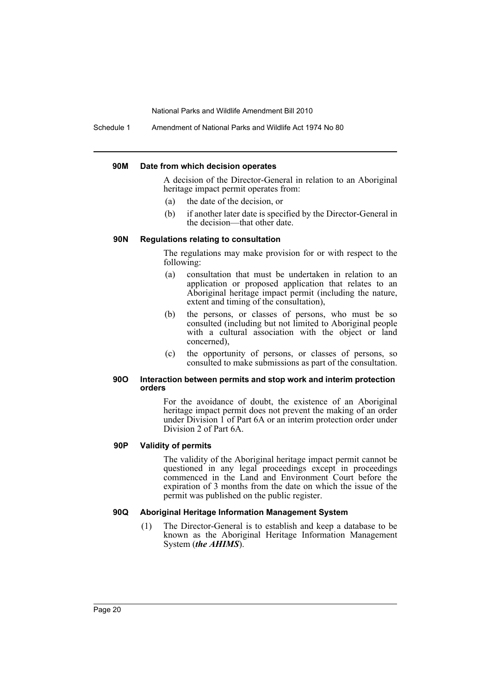Schedule 1 Amendment of National Parks and Wildlife Act 1974 No 80

#### **90M Date from which decision operates**

A decision of the Director-General in relation to an Aboriginal heritage impact permit operates from:

- (a) the date of the decision, or
- (b) if another later date is specified by the Director-General in the decision—that other date.

# **90N Regulations relating to consultation**

The regulations may make provision for or with respect to the following:

- (a) consultation that must be undertaken in relation to an application or proposed application that relates to an Aboriginal heritage impact permit (including the nature, extent and timing of the consultation),
- (b) the persons, or classes of persons, who must be so consulted (including but not limited to Aboriginal people with a cultural association with the object or land concerned),
- (c) the opportunity of persons, or classes of persons, so consulted to make submissions as part of the consultation.

#### **90O Interaction between permits and stop work and interim protection orders**

For the avoidance of doubt, the existence of an Aboriginal heritage impact permit does not prevent the making of an order under Division 1 of Part 6A or an interim protection order under Division 2 of Part 6A.

# **90P Validity of permits**

The validity of the Aboriginal heritage impact permit cannot be questioned in any legal proceedings except in proceedings commenced in the Land and Environment Court before the expiration of 3 months from the date on which the issue of the permit was published on the public register.

# **90Q Aboriginal Heritage Information Management System**

(1) The Director-General is to establish and keep a database to be known as the Aboriginal Heritage Information Management System (*the AHIMS*).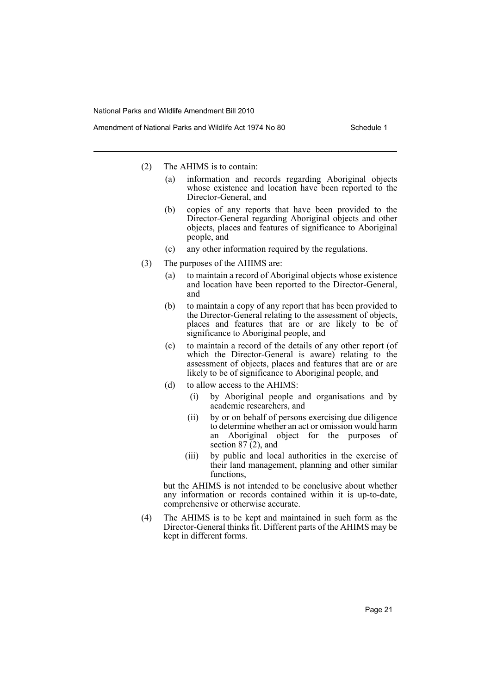- (2) The AHIMS is to contain:
	- (a) information and records regarding Aboriginal objects whose existence and location have been reported to the Director-General, and
	- (b) copies of any reports that have been provided to the Director-General regarding Aboriginal objects and other objects, places and features of significance to Aboriginal people, and
	- (c) any other information required by the regulations.
- (3) The purposes of the AHIMS are:
	- (a) to maintain a record of Aboriginal objects whose existence and location have been reported to the Director-General, and
	- (b) to maintain a copy of any report that has been provided to the Director-General relating to the assessment of objects, places and features that are or are likely to be of significance to Aboriginal people, and
	- (c) to maintain a record of the details of any other report (of which the Director-General is aware) relating to the assessment of objects, places and features that are or are likely to be of significance to Aboriginal people, and
	- (d) to allow access to the AHIMS:
		- (i) by Aboriginal people and organisations and by academic researchers, and
		- (ii) by or on behalf of persons exercising due diligence to determine whether an act or omission would harm an Aboriginal object for the purposes of section 87 (2), and
		- (iii) by public and local authorities in the exercise of their land management, planning and other similar functions,

but the AHIMS is not intended to be conclusive about whether any information or records contained within it is up-to-date, comprehensive or otherwise accurate.

(4) The AHIMS is to be kept and maintained in such form as the Director-General thinks fit. Different parts of the AHIMS may be kept in different forms.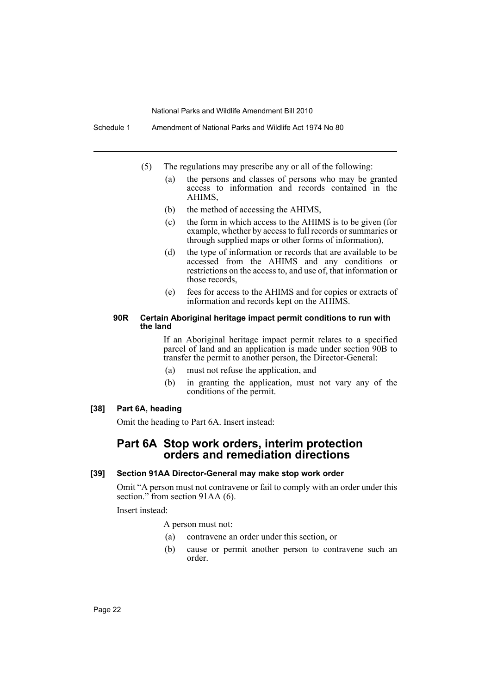Schedule 1 Amendment of National Parks and Wildlife Act 1974 No 80

- (5) The regulations may prescribe any or all of the following:
	- (a) the persons and classes of persons who may be granted access to information and records contained in the AHIMS,
	- (b) the method of accessing the AHIMS,
	- (c) the form in which access to the AHIMS is to be given (for example, whether by access to full records or summaries or through supplied maps or other forms of information),
	- (d) the type of information or records that are available to be accessed from the AHIMS and any conditions or restrictions on the access to, and use of, that information or those records,
	- (e) fees for access to the AHIMS and for copies or extracts of information and records kept on the AHIMS.

#### **90R Certain Aboriginal heritage impact permit conditions to run with the land**

If an Aboriginal heritage impact permit relates to a specified parcel of land and an application is made under section 90B to transfer the permit to another person, the Director-General:

- (a) must not refuse the application, and
- (b) in granting the application, must not vary any of the conditions of the permit.

# **[38] Part 6A, heading**

Omit the heading to Part 6A. Insert instead:

# **Part 6A Stop work orders, interim protection orders and remediation directions**

# **[39] Section 91AA Director-General may make stop work order**

Omit "A person must not contravene or fail to comply with an order under this section." from section 91AA (6).

Insert instead:

A person must not:

- (a) contravene an order under this section, or
- (b) cause or permit another person to contravene such an order.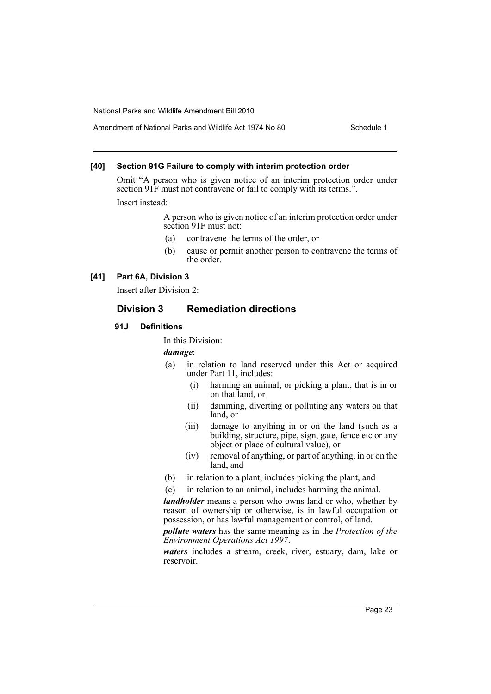# Amendment of National Parks and Wildlife Act 1974 No 80 Schedule 1

# **[40] Section 91G Failure to comply with interim protection order**

Omit "A person who is given notice of an interim protection order under section 91F must not contravene or fail to comply with its terms.".

Insert instead:

A person who is given notice of an interim protection order under section 91F must not:

- (a) contravene the terms of the order, or
- (b) cause or permit another person to contravene the terms of the order.

# **[41] Part 6A, Division 3**

Insert after Division 2:

# **Division 3 Remediation directions**

#### **91J Definitions**

In this Division:

# *damage*:

- (a) in relation to land reserved under this Act or acquired under Part 11, includes:
	- (i) harming an animal, or picking a plant, that is in or on that land, or
	- (ii) damming, diverting or polluting any waters on that land, or
	- (iii) damage to anything in or on the land (such as a building, structure, pipe, sign, gate, fence etc or any object or place of cultural value), or
	- (iv) removal of anything, or part of anything, in or on the land, and
- (b) in relation to a plant, includes picking the plant, and
- (c) in relation to an animal, includes harming the animal.

*landholder* means a person who owns land or who, whether by reason of ownership or otherwise, is in lawful occupation or possession, or has lawful management or control, of land.

*pollute waters* has the same meaning as in the *Protection of the Environment Operations Act 1997*.

*waters* includes a stream, creek, river, estuary, dam, lake or reservoir.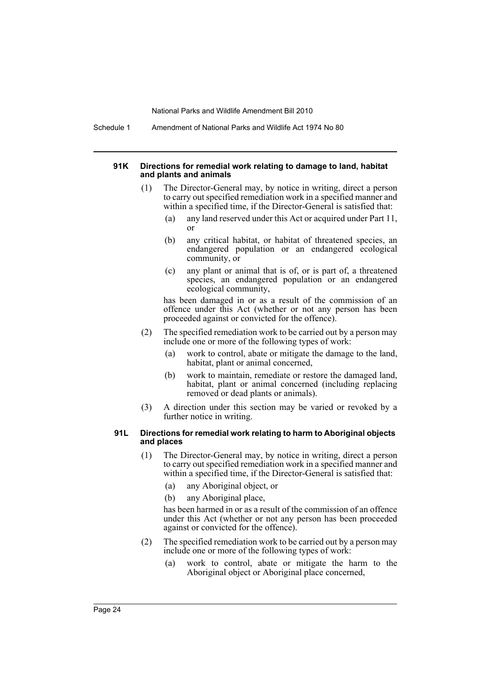Schedule 1 Amendment of National Parks and Wildlife Act 1974 No 80

#### **91K Directions for remedial work relating to damage to land, habitat and plants and animals**

- (1) The Director-General may, by notice in writing, direct a person to carry out specified remediation work in a specified manner and within a specified time, if the Director-General is satisfied that:
	- (a) any land reserved under this Act or acquired under Part 11, or
	- (b) any critical habitat, or habitat of threatened species, an endangered population or an endangered ecological community, or
	- (c) any plant or animal that is of, or is part of, a threatened species, an endangered population or an endangered ecological community,

has been damaged in or as a result of the commission of an offence under this Act (whether or not any person has been proceeded against or convicted for the offence).

- (2) The specified remediation work to be carried out by a person may include one or more of the following types of work:
	- (a) work to control, abate or mitigate the damage to the land, habitat, plant or animal concerned,
	- (b) work to maintain, remediate or restore the damaged land, habitat, plant or animal concerned (including replacing removed or dead plants or animals).
- (3) A direction under this section may be varied or revoked by a further notice in writing.

#### **91L Directions for remedial work relating to harm to Aboriginal objects and places**

- (1) The Director-General may, by notice in writing, direct a person to carry out specified remediation work in a specified manner and within a specified time, if the Director-General is satisfied that:
	- (a) any Aboriginal object, or
	- (b) any Aboriginal place,

has been harmed in or as a result of the commission of an offence under this Act (whether or not any person has been proceeded against or convicted for the offence).

- (2) The specified remediation work to be carried out by a person may include one or more of the following types of work:
	- (a) work to control, abate or mitigate the harm to the Aboriginal object or Aboriginal place concerned,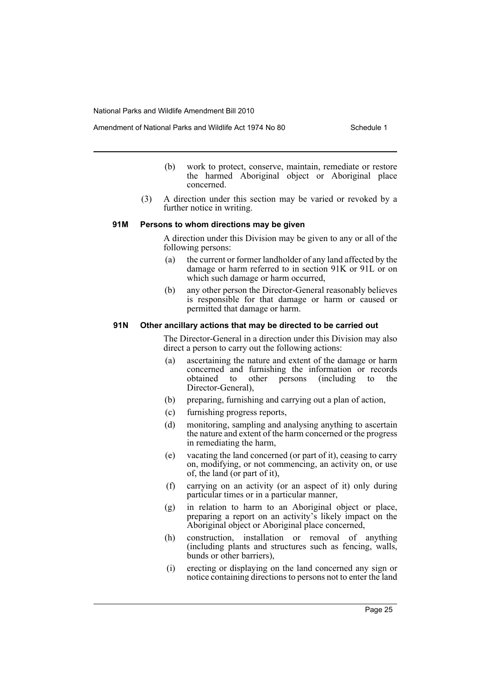- (b) work to protect, conserve, maintain, remediate or restore the harmed Aboriginal object or Aboriginal place concerned.
- (3) A direction under this section may be varied or revoked by a further notice in writing.

# **91M Persons to whom directions may be given**

A direction under this Division may be given to any or all of the following persons:

- (a) the current or former landholder of any land affected by the damage or harm referred to in section 91K or 91L or on which such damage or harm occurred,
- (b) any other person the Director-General reasonably believes is responsible for that damage or harm or caused or permitted that damage or harm.

#### **91N Other ancillary actions that may be directed to be carried out**

The Director-General in a direction under this Division may also direct a person to carry out the following actions:

- (a) ascertaining the nature and extent of the damage or harm concerned and furnishing the information or records obtained to other persons (including to the Director-General),
- (b) preparing, furnishing and carrying out a plan of action,
- (c) furnishing progress reports,
- (d) monitoring, sampling and analysing anything to ascertain the nature and extent of the harm concerned or the progress in remediating the harm,
- (e) vacating the land concerned (or part of it), ceasing to carry on, modifying, or not commencing, an activity on, or use of, the land (or part of it),
- (f) carrying on an activity (or an aspect of it) only during particular times or in a particular manner,
- (g) in relation to harm to an Aboriginal object or place, preparing a report on an activity's likely impact on the Aboriginal object or Aboriginal place concerned,
- (h) construction, installation or removal of anything (including plants and structures such as fencing, walls, bunds or other barriers),
- (i) erecting or displaying on the land concerned any sign or notice containing directions to persons not to enter the land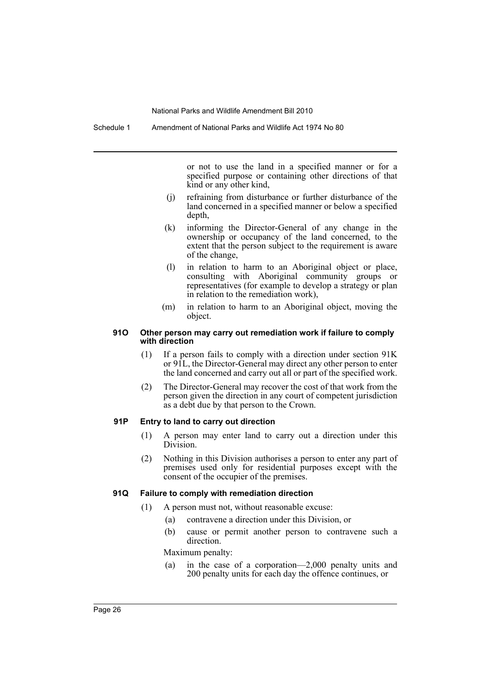or not to use the land in a specified manner or for a specified purpose or containing other directions of that kind or any other kind,

- (j) refraining from disturbance or further disturbance of the land concerned in a specified manner or below a specified depth,
- (k) informing the Director-General of any change in the ownership or occupancy of the land concerned, to the extent that the person subject to the requirement is aware of the change,
- (l) in relation to harm to an Aboriginal object or place, consulting with Aboriginal community groups or representatives (for example to develop a strategy or plan in relation to the remediation work),
- (m) in relation to harm to an Aboriginal object, moving the object.

#### **91O Other person may carry out remediation work if failure to comply with direction**

- (1) If a person fails to comply with a direction under section 91K or 91L, the Director-General may direct any other person to enter the land concerned and carry out all or part of the specified work.
- (2) The Director-General may recover the cost of that work from the person given the direction in any court of competent jurisdiction as a debt due by that person to the Crown.

# **91P Entry to land to carry out direction**

- (1) A person may enter land to carry out a direction under this Division.
- (2) Nothing in this Division authorises a person to enter any part of premises used only for residential purposes except with the consent of the occupier of the premises.

# **91Q Failure to comply with remediation direction**

- (1) A person must not, without reasonable excuse:
	- (a) contravene a direction under this Division, or
	- (b) cause or permit another person to contravene such a direction.

Maximum penalty:

(a) in the case of a corporation—2,000 penalty units and 200 penalty units for each day the offence continues, or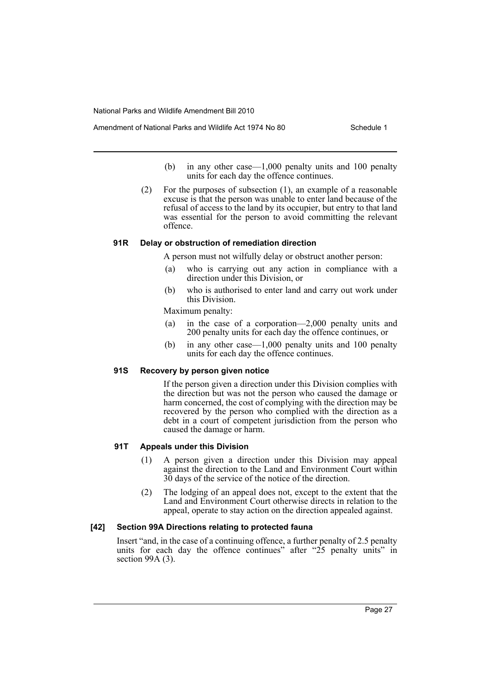- (b) in any other case—1,000 penalty units and 100 penalty units for each day the offence continues.
- (2) For the purposes of subsection (1), an example of a reasonable excuse is that the person was unable to enter land because of the refusal of access to the land by its occupier, but entry to that land was essential for the person to avoid committing the relevant offence.

# **91R Delay or obstruction of remediation direction**

A person must not wilfully delay or obstruct another person:

- (a) who is carrying out any action in compliance with a direction under this Division, or
- (b) who is authorised to enter land and carry out work under this Division.

Maximum penalty:

- (a) in the case of a corporation—2,000 penalty units and 200 penalty units for each day the offence continues, or
- (b) in any other case—1,000 penalty units and 100 penalty units for each day the offence continues.

# **91S Recovery by person given notice**

If the person given a direction under this Division complies with the direction but was not the person who caused the damage or harm concerned, the cost of complying with the direction may be recovered by the person who complied with the direction as a debt in a court of competent jurisdiction from the person who caused the damage or harm.

# **91T Appeals under this Division**

- (1) A person given a direction under this Division may appeal against the direction to the Land and Environment Court within 30 days of the service of the notice of the direction.
- (2) The lodging of an appeal does not, except to the extent that the Land and Environment Court otherwise directs in relation to the appeal, operate to stay action on the direction appealed against.

# **[42] Section 99A Directions relating to protected fauna**

Insert "and, in the case of a continuing offence, a further penalty of 2.5 penalty units for each day the offence continues" after "25 penalty units" in section 99A (3).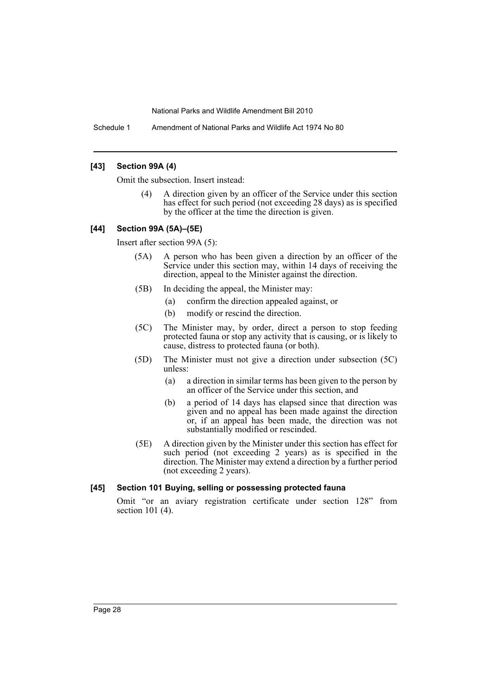Schedule 1 Amendment of National Parks and Wildlife Act 1974 No 80

# **[43] Section 99A (4)**

Omit the subsection. Insert instead:

(4) A direction given by an officer of the Service under this section has effect for such period (not exceeding 28 days) as is specified by the officer at the time the direction is given.

# **[44] Section 99A (5A)–(5E)**

Insert after section 99A (5):

- (5A) A person who has been given a direction by an officer of the Service under this section may, within 14 days of receiving the direction, appeal to the Minister against the direction.
- (5B) In deciding the appeal, the Minister may:
	- (a) confirm the direction appealed against, or
	- (b) modify or rescind the direction.
- (5C) The Minister may, by order, direct a person to stop feeding protected fauna or stop any activity that is causing, or is likely to cause, distress to protected fauna (or both).
- (5D) The Minister must not give a direction under subsection (5C) unless:
	- (a) a direction in similar terms has been given to the person by an officer of the Service under this section, and
	- (b) a period of 14 days has elapsed since that direction was given and no appeal has been made against the direction or, if an appeal has been made, the direction was not substantially modified or rescinded.
- (5E) A direction given by the Minister under this section has effect for such period (not exceeding 2 years) as is specified in the direction. The Minister may extend a direction by a further period (not exceeding 2 years).

# **[45] Section 101 Buying, selling or possessing protected fauna**

Omit "or an aviary registration certificate under section 128" from section 101 (4).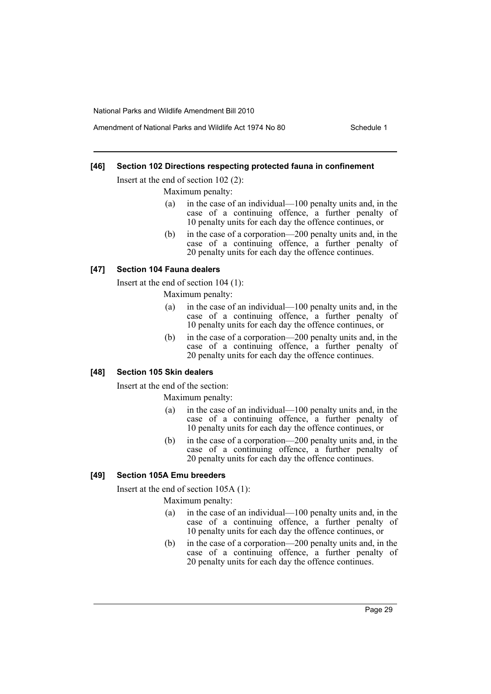# **[46] Section 102 Directions respecting protected fauna in confinement**

Insert at the end of section 102 (2):

Maximum penalty:

- (a) in the case of an individual—100 penalty units and, in the case of a continuing offence, a further penalty of 10 penalty units for each day the offence continues, or
- (b) in the case of a corporation—200 penalty units and, in the case of a continuing offence, a further penalty of 20 penalty units for each day the offence continues.

#### **[47] Section 104 Fauna dealers**

Insert at the end of section 104 (1):

Maximum penalty:

- (a) in the case of an individual—100 penalty units and, in the case of a continuing offence, a further penalty of 10 penalty units for each day the offence continues, or
- (b) in the case of a corporation—200 penalty units and, in the case of a continuing offence, a further penalty of 20 penalty units for each day the offence continues.

# **[48] Section 105 Skin dealers**

Insert at the end of the section:

Maximum penalty:

- (a) in the case of an individual—100 penalty units and, in the case of a continuing offence, a further penalty of 10 penalty units for each day the offence continues, or
- (b) in the case of a corporation—200 penalty units and, in the case of a continuing offence, a further penalty of 20 penalty units for each day the offence continues.

# **[49] Section 105A Emu breeders**

Insert at the end of section 105A (1):

Maximum penalty:

- (a) in the case of an individual—100 penalty units and, in the case of a continuing offence, a further penalty of 10 penalty units for each day the offence continues, or
- (b) in the case of a corporation—200 penalty units and, in the case of a continuing offence, a further penalty of 20 penalty units for each day the offence continues.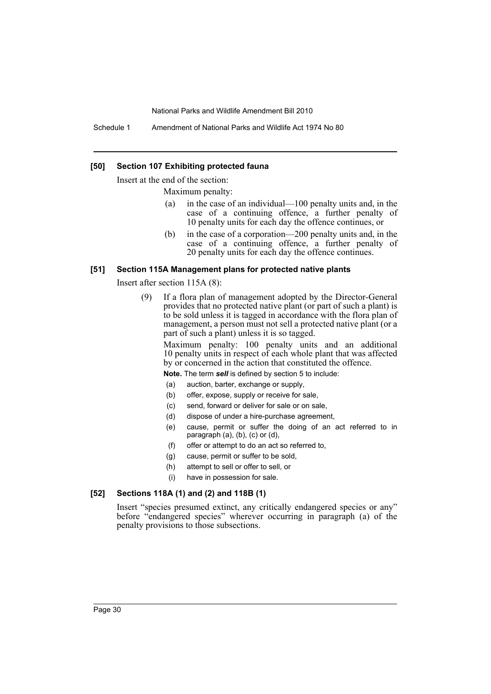Schedule 1 Amendment of National Parks and Wildlife Act 1974 No 80

#### **[50] Section 107 Exhibiting protected fauna**

Insert at the end of the section:

Maximum penalty:

- (a) in the case of an individual—100 penalty units and, in the case of a continuing offence, a further penalty of 10 penalty units for each day the offence continues, or
- (b) in the case of a corporation—200 penalty units and, in the case of a continuing offence, a further penalty of 20 penalty units for each day the offence continues.

#### **[51] Section 115A Management plans for protected native plants**

Insert after section 115A (8):

(9) If a flora plan of management adopted by the Director-General provides that no protected native plant (or part of such a plant) is to be sold unless it is tagged in accordance with the flora plan of management, a person must not sell a protected native plant (or a part of such a plant) unless it is so tagged.

Maximum penalty: 100 penalty units and an additional 10 penalty units in respect of each whole plant that was affected by or concerned in the action that constituted the offence.

**Note.** The term *sell* is defined by section 5 to include:

- (a) auction, barter, exchange or supply,
- (b) offer, expose, supply or receive for sale,
- (c) send, forward or deliver for sale or on sale,
- (d) dispose of under a hire-purchase agreement,
- (e) cause, permit or suffer the doing of an act referred to in paragraph (a), (b), (c) or (d),
- (f) offer or attempt to do an act so referred to,
- (g) cause, permit or suffer to be sold,
- (h) attempt to sell or offer to sell, or
- (i) have in possession for sale.

# **[52] Sections 118A (1) and (2) and 118B (1)**

Insert "species presumed extinct, any critically endangered species or any" before "endangered species" wherever occurring in paragraph (a) of the penalty provisions to those subsections.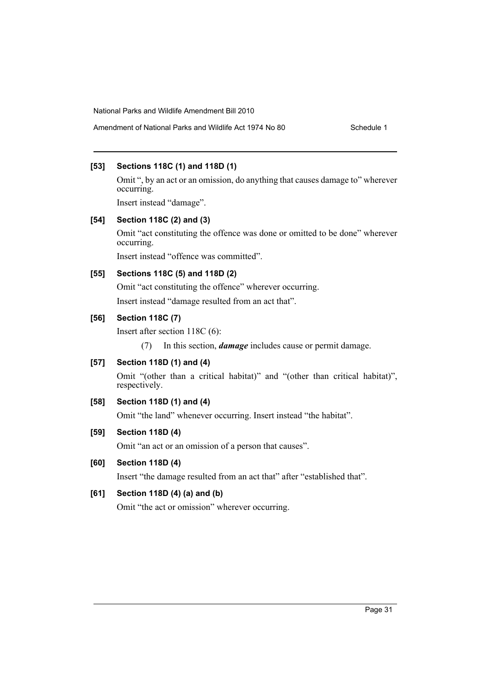# **[53] Sections 118C (1) and 118D (1)**

Omit ", by an act or an omission, do anything that causes damage to" wherever occurring.

Insert instead "damage".

# **[54] Section 118C (2) and (3)**

Omit "act constituting the offence was done or omitted to be done" wherever occurring.

Insert instead "offence was committed".

# **[55] Sections 118C (5) and 118D (2)**

Omit "act constituting the offence" wherever occurring.

Insert instead "damage resulted from an act that".

# **[56] Section 118C (7)**

Insert after section 118C (6):

(7) In this section, *damage* includes cause or permit damage.

# **[57] Section 118D (1) and (4)**

Omit "(other than a critical habitat)" and "(other than critical habitat)", respectively.

# **[58] Section 118D (1) and (4)**

Omit "the land" whenever occurring. Insert instead "the habitat".

# **[59] Section 118D (4)**

Omit "an act or an omission of a person that causes".

# **[60] Section 118D (4)**

Insert "the damage resulted from an act that" after "established that".

# **[61] Section 118D (4) (a) and (b)**

Omit "the act or omission" wherever occurring.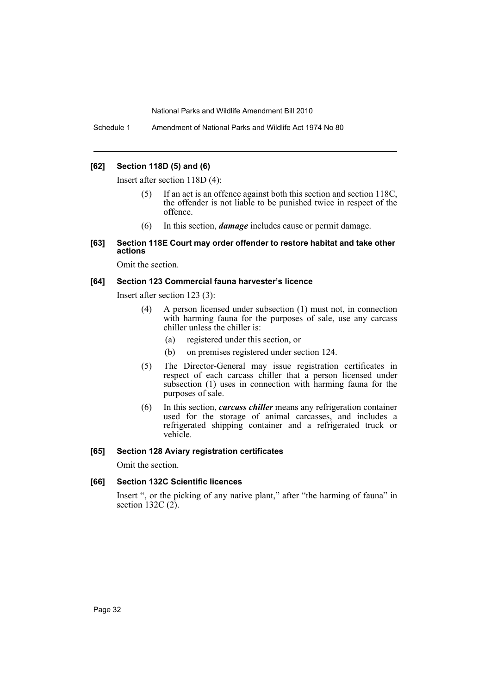Schedule 1 Amendment of National Parks and Wildlife Act 1974 No 80

# **[62] Section 118D (5) and (6)**

Insert after section 118D (4):

- (5) If an act is an offence against both this section and section 118C, the offender is not liable to be punished twice in respect of the offence.
- (6) In this section, *damage* includes cause or permit damage.
- **[63] Section 118E Court may order offender to restore habitat and take other actions**

Omit the section.

# **[64] Section 123 Commercial fauna harvester's licence**

Insert after section 123 (3):

- (4) A person licensed under subsection (1) must not, in connection with harming fauna for the purposes of sale, use any carcass chiller unless the chiller is:
	- (a) registered under this section, or
	- (b) on premises registered under section 124.
- (5) The Director-General may issue registration certificates in respect of each carcass chiller that a person licensed under subsection (1) uses in connection with harming fauna for the purposes of sale.
- (6) In this section, *carcass chiller* means any refrigeration container used for the storage of animal carcasses, and includes a refrigerated shipping container and a refrigerated truck or vehicle.

# **[65] Section 128 Aviary registration certificates**

Omit the section.

# **[66] Section 132C Scientific licences**

Insert ", or the picking of any native plant," after "the harming of fauna" in section 132C $(2)$ .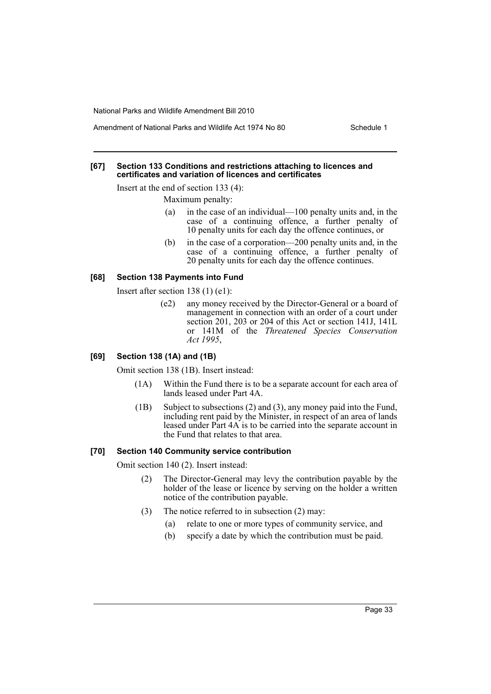Amendment of National Parks and Wildlife Act 1974 No 80 Schedule 1

#### **[67] Section 133 Conditions and restrictions attaching to licences and certificates and variation of licences and certificates**

Insert at the end of section 133 (4):

Maximum penalty:

- (a) in the case of an individual—100 penalty units and, in the case of a continuing offence, a further penalty of 10 penalty units for each day the offence continues, or
- (b) in the case of a corporation—200 penalty units and, in the case of a continuing offence, a further penalty of 20 penalty units for each day the offence continues.

# **[68] Section 138 Payments into Fund**

Insert after section 138 (1) (e1):

(e2) any money received by the Director-General or a board of management in connection with an order of a court under section 201, 203 or 204 of this Act or section 141J, 141L or 141M of the *Threatened Species Conservation Act 1995*,

# **[69] Section 138 (1A) and (1B)**

Omit section 138 (1B). Insert instead:

- (1A) Within the Fund there is to be a separate account for each area of lands leased under Part 4A.
- (1B) Subject to subsections (2) and (3), any money paid into the Fund, including rent paid by the Minister, in respect of an area of lands leased under Part 4A is to be carried into the separate account in the Fund that relates to that area.

# **[70] Section 140 Community service contribution**

Omit section 140 (2). Insert instead:

- (2) The Director-General may levy the contribution payable by the holder of the lease or licence by serving on the holder a written notice of the contribution payable.
- (3) The notice referred to in subsection (2) may:
	- (a) relate to one or more types of community service, and
	- (b) specify a date by which the contribution must be paid.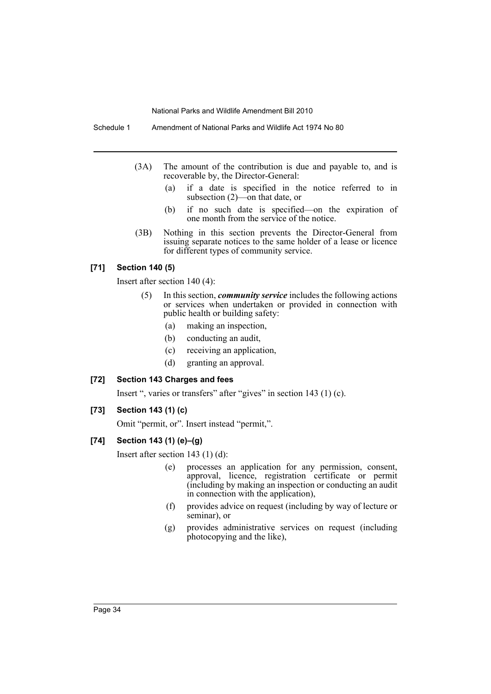Schedule 1 Amendment of National Parks and Wildlife Act 1974 No 80

- (3A) The amount of the contribution is due and payable to, and is recoverable by, the Director-General:
	- (a) if a date is specified in the notice referred to in subsection (2)—on that date, or
	- (b) if no such date is specified—on the expiration of one month from the service of the notice.
- (3B) Nothing in this section prevents the Director-General from issuing separate notices to the same holder of a lease or licence for different types of community service.

# **[71] Section 140 (5)**

Insert after section 140 (4):

- (5) In this section, *community service* includes the following actions or services when undertaken or provided in connection with public health or building safety:
	- (a) making an inspection,
	- (b) conducting an audit,
	- (c) receiving an application,
	- (d) granting an approval.

# **[72] Section 143 Charges and fees**

Insert ", varies or transfers" after "gives" in section 143 (1) (c).

# **[73] Section 143 (1) (c)**

Omit "permit, or". Insert instead "permit,".

# **[74] Section 143 (1) (e)–(g)**

Insert after section 143 (1) (d):

- (e) processes an application for any permission, consent, approval, licence, registration certificate or permit (including by making an inspection or conducting an audit in connection with the application),
- (f) provides advice on request (including by way of lecture or seminar), or
- (g) provides administrative services on request (including photocopying and the like),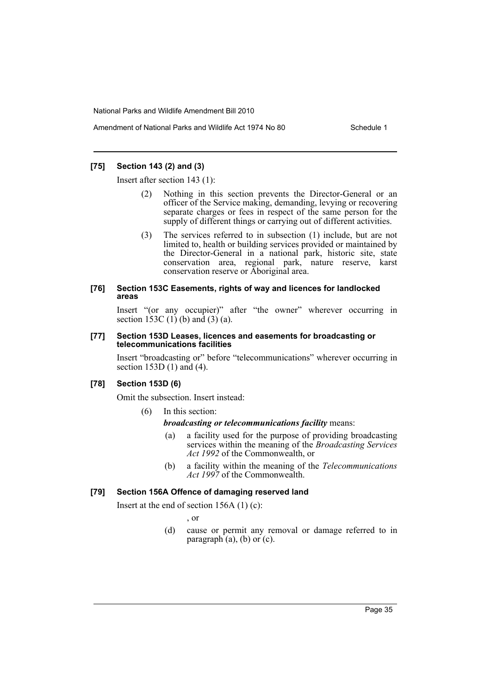# **[75] Section 143 (2) and (3)**

Insert after section 143 (1):

- Nothing in this section prevents the Director-General or an officer of the Service making, demanding, levying or recovering separate charges or fees in respect of the same person for the supply of different things or carrying out of different activities.
- (3) The services referred to in subsection (1) include, but are not limited to, health or building services provided or maintained by the Director-General in a national park, historic site, state conservation area, regional park, nature reserve, karst conservation reserve or Aboriginal area.

#### **[76] Section 153C Easements, rights of way and licences for landlocked areas**

Insert "(or any occupier)" after "the owner" wherever occurring in section  $153C(1)$  (b) and  $(3)$  (a).

#### **[77] Section 153D Leases, licences and easements for broadcasting or telecommunications facilities**

Insert "broadcasting or" before "telecommunications" wherever occurring in section 153D (1) and (4).

# **[78] Section 153D (6)**

Omit the subsection. Insert instead:

(6) In this section:

#### *broadcasting or telecommunications facility* means:

- (a) a facility used for the purpose of providing broadcasting services within the meaning of the *Broadcasting Services Act 1992* of the Commonwealth, or
- (b) a facility within the meaning of the *Telecommunications Act 1997* of the Commonwealth.

# **[79] Section 156A Offence of damaging reserved land**

Insert at the end of section 156A (1) (c):

, or

(d) cause or permit any removal or damage referred to in paragraph  $(a)$ ,  $(b)$  or  $(c)$ .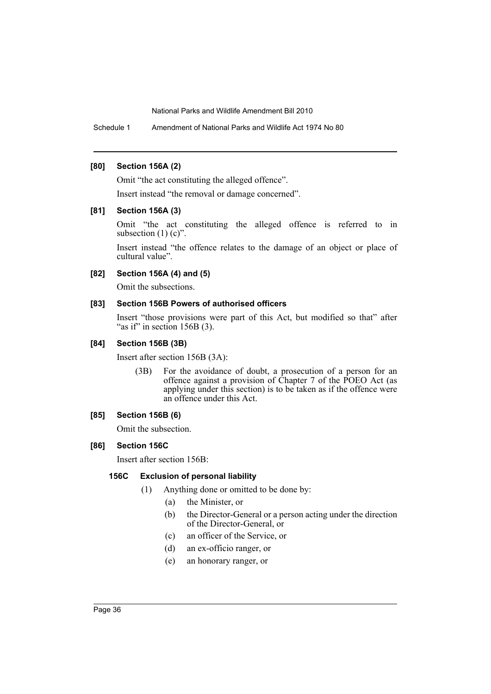Schedule 1 Amendment of National Parks and Wildlife Act 1974 No 80

#### **[80] Section 156A (2)**

Omit "the act constituting the alleged offence".

Insert instead "the removal or damage concerned".

### **[81] Section 156A (3)**

Omit "the act constituting the alleged offence is referred to in subsection  $(1)$   $(c)$ ".

Insert instead "the offence relates to the damage of an object or place of cultural value".

## **[82] Section 156A (4) and (5)**

Omit the subsections.

## **[83] Section 156B Powers of authorised officers**

Insert "those provisions were part of this Act, but modified so that" after "as if" in section  $156B(3)$ .

### **[84] Section 156B (3B)**

Insert after section 156B (3A):

(3B) For the avoidance of doubt, a prosecution of a person for an offence against a provision of Chapter 7 of the POEO Act (as applying under this section) is to be taken as if the offence were an offence under this Act.

## **[85] Section 156B (6)**

Omit the subsection.

## **[86] Section 156C**

Insert after section 156B:

## **156C Exclusion of personal liability**

- (1) Anything done or omitted to be done by:
	- (a) the Minister, or
	- (b) the Director-General or a person acting under the direction of the Director-General, or
	- (c) an officer of the Service, or
	- (d) an ex-officio ranger, or
	- (e) an honorary ranger, or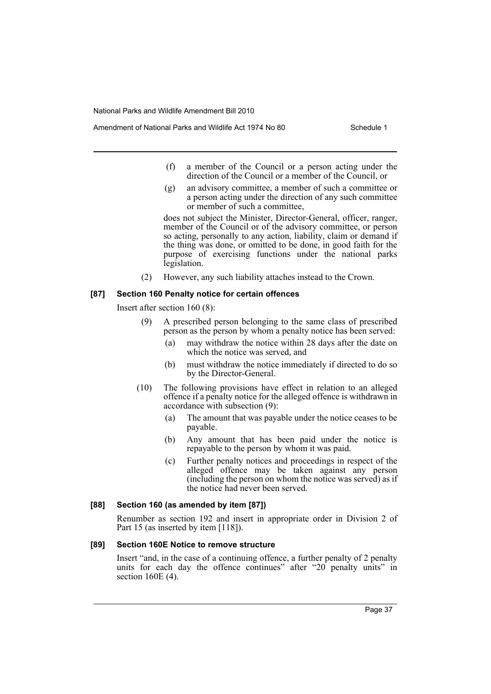- Amendment of National Parks and Wildlife Act 1974 No 80 Schedule 1
	- (f) a member of the Council or a person acting under the direction of the Council or a member of the Council, or
	- (g) an advisory committee, a member of such a committee or a person acting under the direction of any such committee or member of such a committee,

does not subject the Minister, Director-General, officer, ranger, member of the Council or of the advisory committee, or person so acting, personally to any action, liability, claim or demand if the thing was done, or omitted to be done, in good faith for the purpose of exercising functions under the national parks legislation.

(2) However, any such liability attaches instead to the Crown.

## **[87] Section 160 Penalty notice for certain offences**

Insert after section 160 (8):

- (9) A prescribed person belonging to the same class of prescribed person as the person by whom a penalty notice has been served:
	- (a) may withdraw the notice within 28 days after the date on which the notice was served, and
	- (b) must withdraw the notice immediately if directed to do so by the Director-General.
- (10) The following provisions have effect in relation to an alleged offence if a penalty notice for the alleged offence is withdrawn in accordance with subsection (9):
	- (a) The amount that was payable under the notice ceases to be payable.
	- (b) Any amount that has been paid under the notice is repayable to the person by whom it was paid.
	- (c) Further penalty notices and proceedings in respect of the alleged offence may be taken against any person (including the person on whom the notice was served) as if the notice had never been served.

## **[88] Section 160 (as amended by item [87])**

Renumber as section 192 and insert in appropriate order in Division 2 of Part 15 (as inserted by item [118]).

### **[89] Section 160E Notice to remove structure**

Insert "and, in the case of a continuing offence, a further penalty of 2 penalty units for each day the offence continues" after "20 penalty units" in section 160E (4).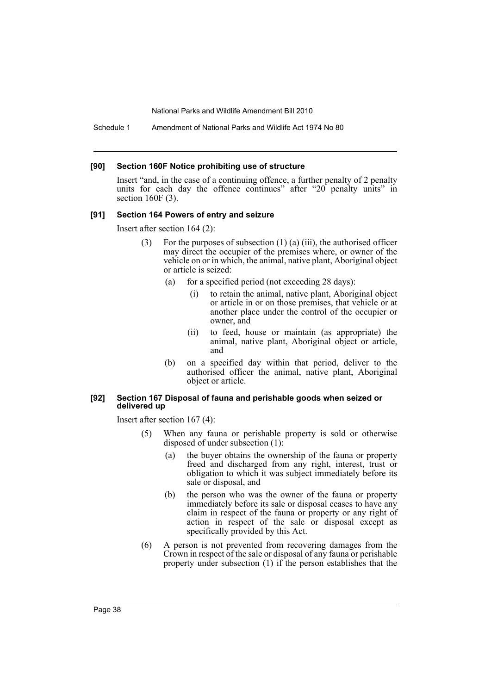Schedule 1 Amendment of National Parks and Wildlife Act 1974 No 80

#### **[90] Section 160F Notice prohibiting use of structure**

Insert "and, in the case of a continuing offence, a further penalty of 2 penalty units for each day the offence continues" after "20 penalty units" in section 160F (3).

#### **[91] Section 164 Powers of entry and seizure**

Insert after section 164 (2):

- For the purposes of subsection  $(1)$  (a) (iii), the authorised officer may direct the occupier of the premises where, or owner of the vehicle on or in which, the animal, native plant, Aboriginal object or article is seized:
	- (a) for a specified period (not exceeding 28 days):
		- (i) to retain the animal, native plant, Aboriginal object or article in or on those premises, that vehicle or at another place under the control of the occupier or owner, and
		- (ii) to feed, house or maintain (as appropriate) the animal, native plant, Aboriginal object or article, and
	- (b) on a specified day within that period, deliver to the authorised officer the animal, native plant, Aboriginal object or article.

#### **[92] Section 167 Disposal of fauna and perishable goods when seized or delivered up**

Insert after section 167 (4):

- (5) When any fauna or perishable property is sold or otherwise disposed of under subsection (1):
	- (a) the buyer obtains the ownership of the fauna or property freed and discharged from any right, interest, trust or obligation to which it was subject immediately before its sale or disposal, and
	- (b) the person who was the owner of the fauna or property immediately before its sale or disposal ceases to have any claim in respect of the fauna or property or any right of action in respect of the sale or disposal except as specifically provided by this Act.
- (6) A person is not prevented from recovering damages from the Crown in respect of the sale or disposal of any fauna or perishable property under subsection (1) if the person establishes that the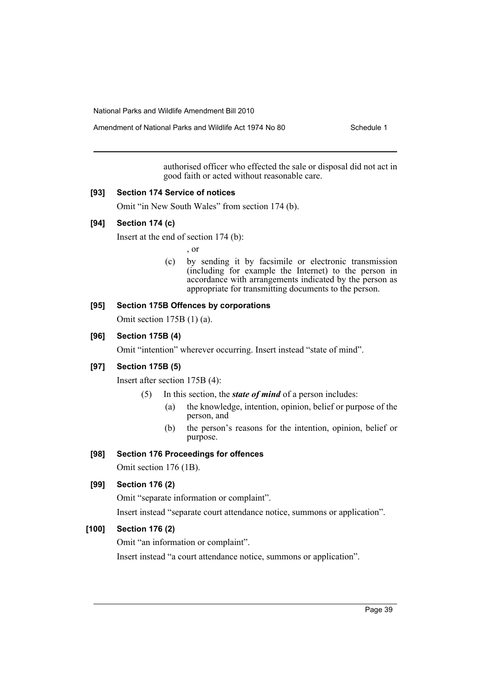Amendment of National Parks and Wildlife Act 1974 No 80 Schedule 1

authorised officer who effected the sale or disposal did not act in good faith or acted without reasonable care.

#### **[93] Section 174 Service of notices**

Omit "in New South Wales" from section 174 (b).

## **[94] Section 174 (c)**

Insert at the end of section 174 (b):

, or

(c) by sending it by facsimile or electronic transmission (including for example the Internet) to the person in accordance with arrangements indicated by the person as appropriate for transmitting documents to the person.

### **[95] Section 175B Offences by corporations**

Omit section 175B (1) (a).

### **[96] Section 175B (4)**

Omit "intention" wherever occurring. Insert instead "state of mind".

#### **[97] Section 175B (5)**

Insert after section 175B (4):

- (5) In this section, the *state of mind* of a person includes:
	- (a) the knowledge, intention, opinion, belief or purpose of the person, and
	- (b) the person's reasons for the intention, opinion, belief or purpose.

#### **[98] Section 176 Proceedings for offences**

Omit section 176 (1B).

## **[99] Section 176 (2)**

Omit "separate information or complaint".

Insert instead "separate court attendance notice, summons or application".

# **[100] Section 176 (2)**

Omit "an information or complaint".

Insert instead "a court attendance notice, summons or application".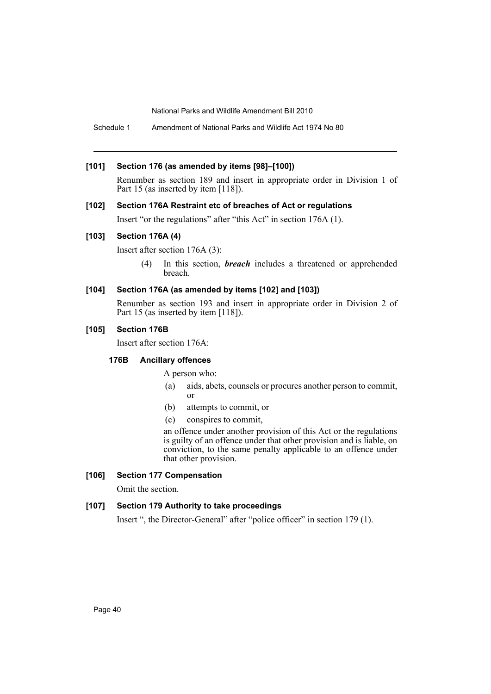Schedule 1 Amendment of National Parks and Wildlife Act 1974 No 80

#### **[101] Section 176 (as amended by items [98]–[100])**

Renumber as section 189 and insert in appropriate order in Division 1 of Part 15 (as inserted by item [118]).

#### **[102] Section 176A Restraint etc of breaches of Act or regulations**

Insert "or the regulations" after "this Act" in section 176A (1).

### **[103] Section 176A (4)**

Insert after section 176A (3):

(4) In this section, *breach* includes a threatened or apprehended breach.

## **[104] Section 176A (as amended by items [102] and [103])**

Renumber as section 193 and insert in appropriate order in Division 2 of Part 15 (as inserted by item [118]).

### **[105] Section 176B**

Insert after section 176A:

## **176B Ancillary offences**

A person who:

- (a) aids, abets, counsels or procures another person to commit, or
- (b) attempts to commit, or
- (c) conspires to commit,

an offence under another provision of this Act or the regulations is guilty of an offence under that other provision and is liable, on conviction, to the same penalty applicable to an offence under that other provision.

## **[106] Section 177 Compensation**

Omit the section.

## **[107] Section 179 Authority to take proceedings**

Insert ", the Director-General" after "police officer" in section 179 (1).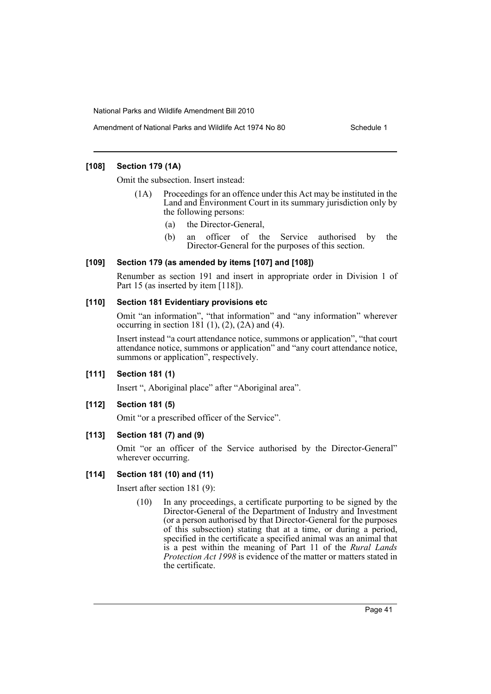### **[108] Section 179 (1A)**

Omit the subsection. Insert instead:

- (1A) Proceedings for an offence under this Act may be instituted in the Land and Environment Court in its summary jurisdiction only by the following persons:
	- (a) the Director-General,
	- (b) an officer of the Service authorised by the Director-General for the purposes of this section.

### **[109] Section 179 (as amended by items [107] and [108])**

Renumber as section 191 and insert in appropriate order in Division 1 of Part 15 (as inserted by item [118]).

### **[110] Section 181 Evidentiary provisions etc**

Omit "an information", "that information" and "any information" wherever occurring in section 181 $(1)$ ,  $(2)$ ,  $(2A)$  and  $(4)$ .

Insert instead "a court attendance notice, summons or application", "that court attendance notice, summons or application" and "any court attendance notice, summons or application", respectively.

## **[111] Section 181 (1)**

Insert ", Aboriginal place" after "Aboriginal area".

## **[112] Section 181 (5)**

Omit "or a prescribed officer of the Service".

## **[113] Section 181 (7) and (9)**

Omit "or an officer of the Service authorised by the Director-General" wherever occurring.

## **[114] Section 181 (10) and (11)**

Insert after section 181 (9):

(10) In any proceedings, a certificate purporting to be signed by the Director-General of the Department of Industry and Investment (or a person authorised by that Director-General for the purposes of this subsection) stating that at a time, or during a period, specified in the certificate a specified animal was an animal that is a pest within the meaning of Part 11 of the *Rural Lands Protection Act 1998* is evidence of the matter or matters stated in the certificate.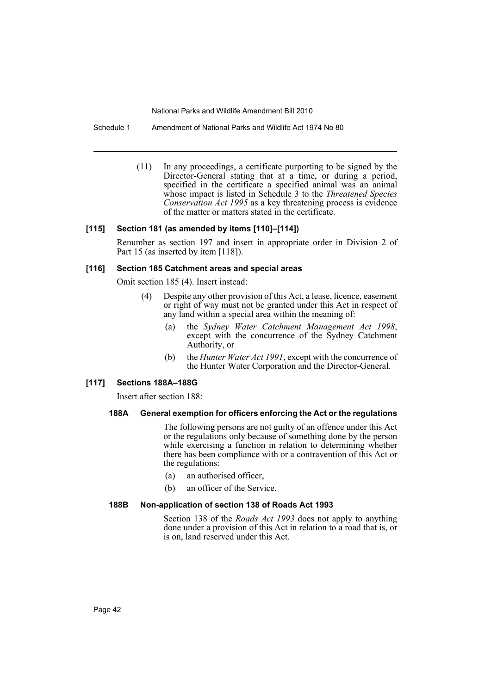Schedule 1 Amendment of National Parks and Wildlife Act 1974 No 80

(11) In any proceedings, a certificate purporting to be signed by the Director-General stating that at a time, or during a period, specified in the certificate a specified animal was an animal whose impact is listed in Schedule 3 to the *Threatened Species Conservation Act 1995* as a key threatening process is evidence of the matter or matters stated in the certificate.

### **[115] Section 181 (as amended by items [110]–[114])**

Renumber as section 197 and insert in appropriate order in Division 2 of Part 15 (as inserted by item [118]).

#### **[116] Section 185 Catchment areas and special areas**

Omit section 185 (4). Insert instead:

- (4) Despite any other provision of this Act, a lease, licence, easement or right of way must not be granted under this Act in respect of any land within a special area within the meaning of:
	- (a) the *Sydney Water Catchment Management Act 1998*, except with the concurrence of the Sydney Catchment Authority, or
	- (b) the *Hunter Water Act 1991*, except with the concurrence of the Hunter Water Corporation and the Director-General.

#### **[117] Sections 188A–188G**

Insert after section 188:

#### **188A General exemption for officers enforcing the Act or the regulations**

The following persons are not guilty of an offence under this Act or the regulations only because of something done by the person while exercising a function in relation to determining whether there has been compliance with or a contravention of this Act or the regulations:

- (a) an authorised officer,
- (b) an officer of the Service.

#### **188B Non-application of section 138 of Roads Act 1993**

Section 138 of the *Roads Act 1993* does not apply to anything done under a provision of this Act in relation to a road that is, or is on, land reserved under this Act.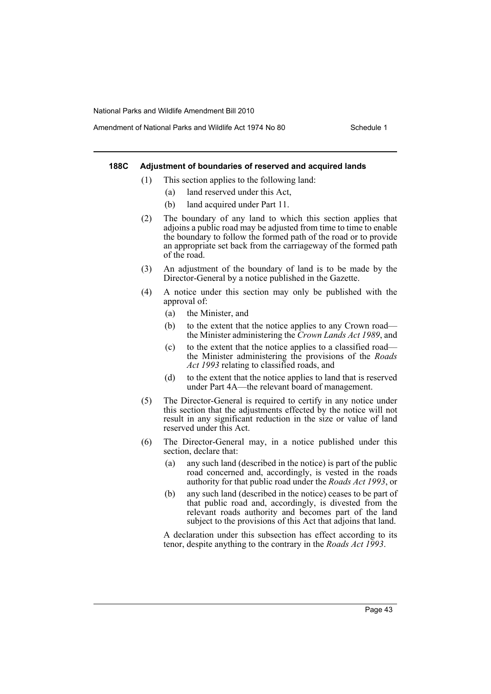#### **188C Adjustment of boundaries of reserved and acquired lands**

- (1) This section applies to the following land:
	- (a) land reserved under this Act,
	- (b) land acquired under Part 11.
- (2) The boundary of any land to which this section applies that adjoins a public road may be adjusted from time to time to enable the boundary to follow the formed path of the road or to provide an appropriate set back from the carriageway of the formed path of the road.
- (3) An adjustment of the boundary of land is to be made by the Director-General by a notice published in the Gazette.
- (4) A notice under this section may only be published with the approval of:
	- (a) the Minister, and
	- (b) to the extent that the notice applies to any Crown road the Minister administering the *Crown Lands Act 1989*, and
	- (c) to the extent that the notice applies to a classified road the Minister administering the provisions of the *Roads Act 1993* relating to classified roads, and
	- (d) to the extent that the notice applies to land that is reserved under Part 4A—the relevant board of management.
- (5) The Director-General is required to certify in any notice under this section that the adjustments effected by the notice will not result in any significant reduction in the size or value of land reserved under this Act.
- (6) The Director-General may, in a notice published under this section, declare that:
	- (a) any such land (described in the notice) is part of the public road concerned and, accordingly, is vested in the roads authority for that public road under the *Roads Act 1993*, or
	- (b) any such land (described in the notice) ceases to be part of that public road and, accordingly, is divested from the relevant roads authority and becomes part of the land subject to the provisions of this Act that adjoins that land.

A declaration under this subsection has effect according to its tenor, despite anything to the contrary in the *Roads Act 1993*.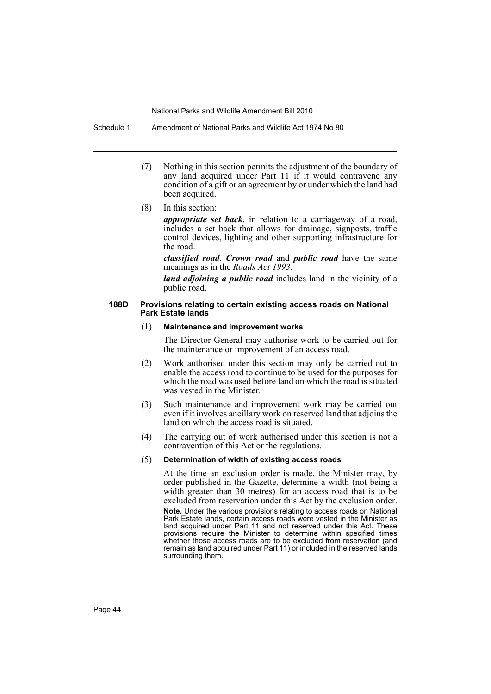Schedule 1 Amendment of National Parks and Wildlife Act 1974 No 80

- (7) Nothing in this section permits the adjustment of the boundary of any land acquired under Part 11 if it would contravene any condition of a gift or an agreement by or under which the land had been acquired.
- (8) In this section:

*appropriate set back*, in relation to a carriageway of a road, includes a set back that allows for drainage, signposts, traffic control devices, lighting and other supporting infrastructure for the road.

*classified road*, *Crown road* and *public road* have the same meanings as in the *Roads Act 1993*.

*land adjoining a public road* includes land in the vicinity of a public road.

#### **188D Provisions relating to certain existing access roads on National Park Estate lands**

#### (1) **Maintenance and improvement works**

The Director-General may authorise work to be carried out for the maintenance or improvement of an access road.

- (2) Work authorised under this section may only be carried out to enable the access road to continue to be used for the purposes for which the road was used before land on which the road is situated was vested in the Minister.
- (3) Such maintenance and improvement work may be carried out even if it involves ancillary work on reserved land that adjoins the land on which the access road is situated.
- (4) The carrying out of work authorised under this section is not a contravention of this Act or the regulations.

#### (5) **Determination of width of existing access roads**

At the time an exclusion order is made, the Minister may, by order published in the Gazette, determine a width (not being a width greater than 30 metres) for an access road that is to be excluded from reservation under this Act by the exclusion order.

**Note.** Under the various provisions relating to access roads on National Park Estate lands, certain access roads were vested in the Minister as land acquired under Part 11 and not reserved under this Act. These provisions require the Minister to determine within specified times whether those access roads are to be excluded from reservation (and remain as land acquired under Part 11) or included in the reserved lands surrounding them.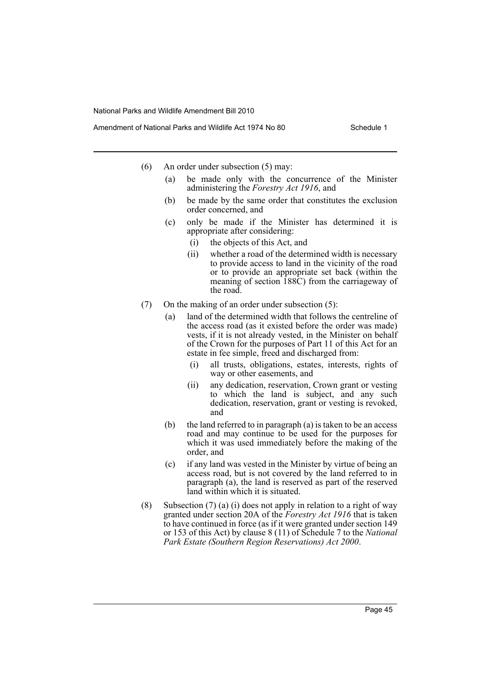- (6) An order under subsection (5) may:
	- (a) be made only with the concurrence of the Minister administering the *Forestry Act 1916*, and
	- (b) be made by the same order that constitutes the exclusion order concerned, and
	- (c) only be made if the Minister has determined it is appropriate after considering:
		- (i) the objects of this Act, and
		- (ii) whether a road of the determined width is necessary to provide access to land in the vicinity of the road or to provide an appropriate set back (within the meaning of section 188C) from the carriageway of the road.
- (7) On the making of an order under subsection (5):
	- (a) land of the determined width that follows the centreline of the access road (as it existed before the order was made) vests, if it is not already vested, in the Minister on behalf of the Crown for the purposes of Part 11 of this Act for an estate in fee simple, freed and discharged from:
		- (i) all trusts, obligations, estates, interests, rights of way or other easements, and
		- (ii) any dedication, reservation, Crown grant or vesting to which the land is subject, and any such dedication, reservation, grant or vesting is revoked, and
	- (b) the land referred to in paragraph (a) is taken to be an access road and may continue to be used for the purposes for which it was used immediately before the making of the order, and
	- (c) if any land was vested in the Minister by virtue of being an access road, but is not covered by the land referred to in paragraph (a), the land is reserved as part of the reserved land within which it is situated.
- (8) Subsection (7) (a) (i) does not apply in relation to a right of way granted under section 20A of the *Forestry Act 1916* that is taken to have continued in force (as if it were granted under section 149 or 153 of this Act) by clause 8 (11) of Schedule 7 to the *National Park Estate (Southern Region Reservations) Act 2000*.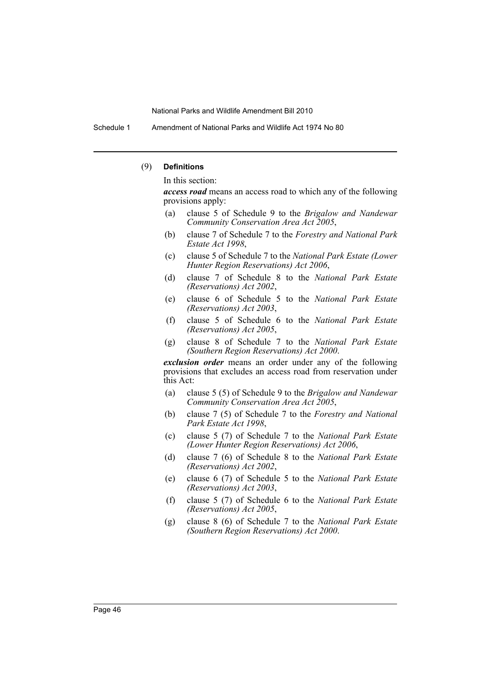Schedule 1 Amendment of National Parks and Wildlife Act 1974 No 80

#### (9) **Definitions**

In this section:

*access road* means an access road to which any of the following provisions apply:

- (a) clause 5 of Schedule 9 to the *Brigalow and Nandewar Community Conservation Area Act 2005*,
- (b) clause 7 of Schedule 7 to the *Forestry and National Park Estate Act 1998*,
- (c) clause 5 of Schedule 7 to the *National Park Estate (Lower Hunter Region Reservations) Act 2006*,
- (d) clause 7 of Schedule 8 to the *National Park Estate (Reservations) Act 2002*,
- (e) clause 6 of Schedule 5 to the *National Park Estate (Reservations) Act 2003*,
- (f) clause 5 of Schedule 6 to the *National Park Estate (Reservations) Act 2005*,
- (g) clause 8 of Schedule 7 to the *National Park Estate (Southern Region Reservations) Act 2000*.

*exclusion order* means an order under any of the following provisions that excludes an access road from reservation under this Act:

- (a) clause 5 (5) of Schedule 9 to the *Brigalow and Nandewar Community Conservation Area Act 2005*,
- (b) clause 7 (5) of Schedule 7 to the *Forestry and National Park Estate Act 1998*,
- (c) clause 5 (7) of Schedule 7 to the *National Park Estate (Lower Hunter Region Reservations) Act 2006*,
- (d) clause 7 (6) of Schedule 8 to the *National Park Estate (Reservations) Act 2002*,
- (e) clause 6 (7) of Schedule 5 to the *National Park Estate (Reservations) Act 2003*,
- (f) clause 5 (7) of Schedule 6 to the *National Park Estate (Reservations) Act 2005*,
- (g) clause 8 (6) of Schedule 7 to the *National Park Estate (Southern Region Reservations) Act 2000*.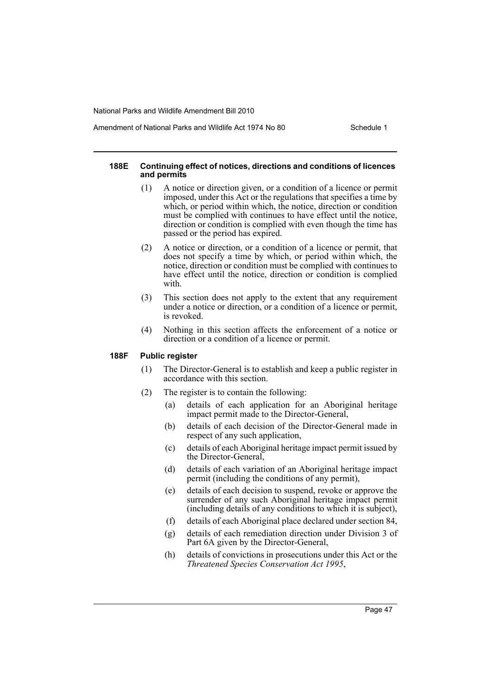#### **188E Continuing effect of notices, directions and conditions of licences and permits**

- (1) A notice or direction given, or a condition of a licence or permit imposed, under this Act or the regulations that specifies a time by which, or period within which, the notice, direction or condition must be complied with continues to have effect until the notice, direction or condition is complied with even though the time has passed or the period has expired.
- (2) A notice or direction, or a condition of a licence or permit, that does not specify a time by which, or period within which, the notice, direction or condition must be complied with continues to have effect until the notice, direction or condition is complied with.
- (3) This section does not apply to the extent that any requirement under a notice or direction, or a condition of a licence or permit, is revoked.
- (4) Nothing in this section affects the enforcement of a notice or direction or a condition of a licence or permit.

#### **188F Public register**

- (1) The Director-General is to establish and keep a public register in accordance with this section.
- (2) The register is to contain the following:
	- (a) details of each application for an Aboriginal heritage impact permit made to the Director-General,
	- (b) details of each decision of the Director-General made in respect of any such application,
	- (c) details of each Aboriginal heritage impact permit issued by the Director-General,
	- (d) details of each variation of an Aboriginal heritage impact permit (including the conditions of any permit),
	- (e) details of each decision to suspend, revoke or approve the surrender of any such Aboriginal heritage impact permit (including details of any conditions to which it is subject),
	- (f) details of each Aboriginal place declared under section 84,
	- (g) details of each remediation direction under Division 3 of Part 6A given by the Director-General,
	- (h) details of convictions in prosecutions under this Act or the *Threatened Species Conservation Act 1995*,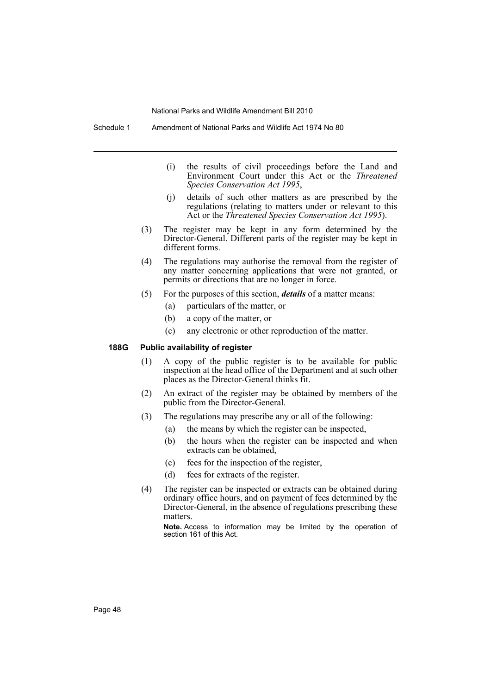Schedule 1 Amendment of National Parks and Wildlife Act 1974 No 80

- (i) the results of civil proceedings before the Land and Environment Court under this Act or the *Threatened Species Conservation Act 1995*,
- (j) details of such other matters as are prescribed by the regulations (relating to matters under or relevant to this Act or the *Threatened Species Conservation Act 1995*).
- (3) The register may be kept in any form determined by the Director-General. Different parts of the register may be kept in different forms.
- (4) The regulations may authorise the removal from the register of any matter concerning applications that were not granted, or permits or directions that are no longer in force.
- (5) For the purposes of this section, *details* of a matter means:
	- (a) particulars of the matter, or
	- (b) a copy of the matter, or
	- (c) any electronic or other reproduction of the matter.

#### **188G Public availability of register**

- (1) A copy of the public register is to be available for public inspection at the head office of the Department and at such other places as the Director-General thinks fit.
- (2) An extract of the register may be obtained by members of the public from the Director-General.
- (3) The regulations may prescribe any or all of the following:
	- (a) the means by which the register can be inspected,
	- (b) the hours when the register can be inspected and when extracts can be obtained,
	- (c) fees for the inspection of the register,
	- (d) fees for extracts of the register.
- (4) The register can be inspected or extracts can be obtained during ordinary office hours, and on payment of fees determined by the Director-General, in the absence of regulations prescribing these matters.

**Note.** Access to information may be limited by the operation of section 161 of this Act.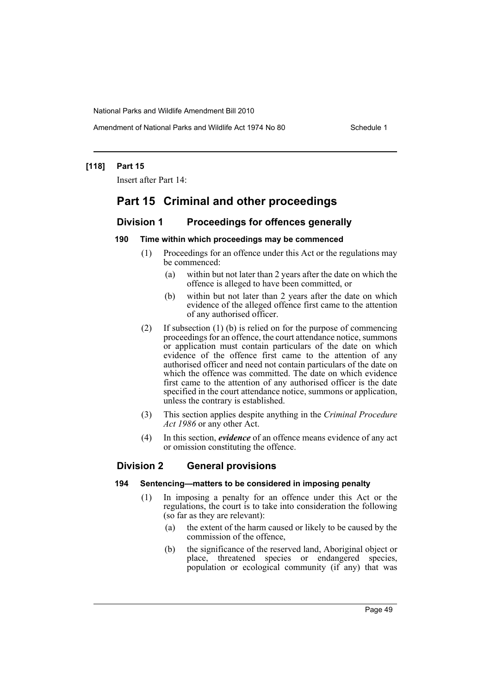Amendment of National Parks and Wildlife Act 1974 No 80 Schedule 1

#### **[118] Part 15**

Insert after Part 14:

# **Part 15 Criminal and other proceedings**

## **Division 1 Proceedings for offences generally**

#### **190 Time within which proceedings may be commenced**

- (1) Proceedings for an offence under this Act or the regulations may be commenced:
	- (a) within but not later than 2 years after the date on which the offence is alleged to have been committed, or
	- (b) within but not later than 2 years after the date on which evidence of the alleged offence first came to the attention of any authorised officer.
- (2) If subsection (1) (b) is relied on for the purpose of commencing proceedings for an offence, the court attendance notice, summons or application must contain particulars of the date on which evidence of the offence first came to the attention of any authorised officer and need not contain particulars of the date on which the offence was committed. The date on which evidence first came to the attention of any authorised officer is the date specified in the court attendance notice, summons or application, unless the contrary is established.
- (3) This section applies despite anything in the *Criminal Procedure Act 1986* or any other Act.
- (4) In this section, *evidence* of an offence means evidence of any act or omission constituting the offence.

## **Division 2 General provisions**

- **194 Sentencing—matters to be considered in imposing penalty**
	- (1) In imposing a penalty for an offence under this Act or the regulations, the court is to take into consideration the following (so far as they are relevant):
		- (a) the extent of the harm caused or likely to be caused by the commission of the offence,
		- (b) the significance of the reserved land, Aboriginal object or place, threatened species or endangered species, population or ecological community (if any) that was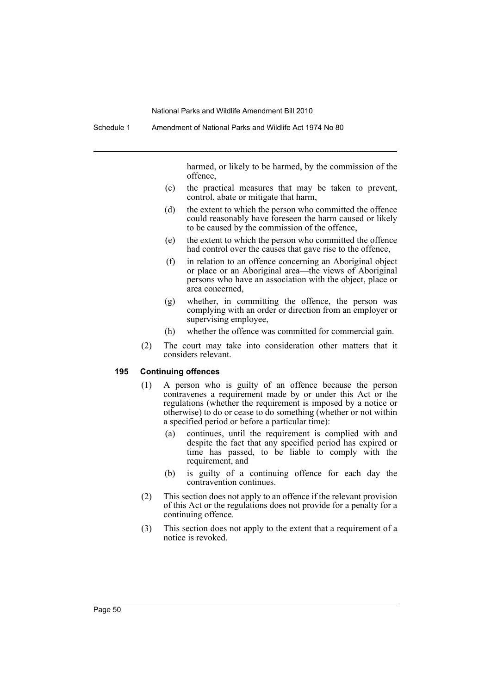harmed, or likely to be harmed, by the commission of the offence,

- (c) the practical measures that may be taken to prevent, control, abate or mitigate that harm,
- (d) the extent to which the person who committed the offence could reasonably have foreseen the harm caused or likely to be caused by the commission of the offence,
- (e) the extent to which the person who committed the offence had control over the causes that gave rise to the offence,
- (f) in relation to an offence concerning an Aboriginal object or place or an Aboriginal area—the views of Aboriginal persons who have an association with the object, place or area concerned,
- (g) whether, in committing the offence, the person was complying with an order or direction from an employer or supervising employee,
- (h) whether the offence was committed for commercial gain.
- (2) The court may take into consideration other matters that it considers relevant.

#### **195 Continuing offences**

- (1) A person who is guilty of an offence because the person contravenes a requirement made by or under this Act or the regulations (whether the requirement is imposed by a notice or otherwise) to do or cease to do something (whether or not within a specified period or before a particular time):
	- (a) continues, until the requirement is complied with and despite the fact that any specified period has expired or time has passed, to be liable to comply with the requirement, and
	- (b) is guilty of a continuing offence for each day the contravention continues.
- (2) This section does not apply to an offence if the relevant provision of this Act or the regulations does not provide for a penalty for a continuing offence.
- (3) This section does not apply to the extent that a requirement of a notice is revoked.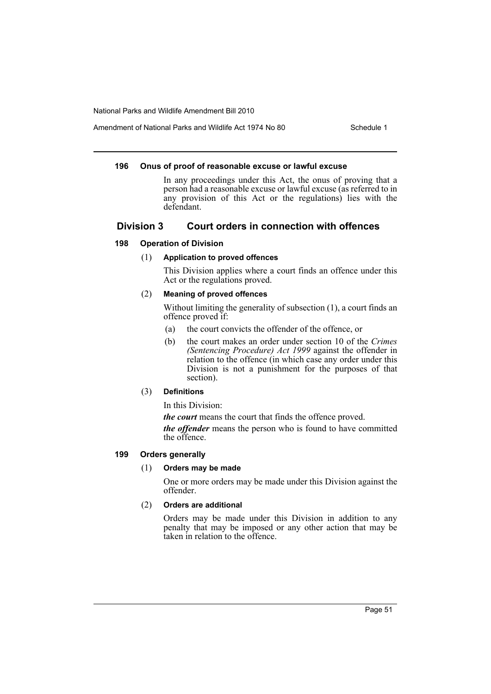Amendment of National Parks and Wildlife Act 1974 No 80 Schedule 1

#### **196 Onus of proof of reasonable excuse or lawful excuse**

In any proceedings under this Act, the onus of proving that a person had a reasonable excuse or lawful excuse (as referred to in any provision of this Act or the regulations) lies with the defendant.

## **Division 3 Court orders in connection with offences**

## **198 Operation of Division**

## (1) **Application to proved offences**

This Division applies where a court finds an offence under this Act or the regulations proved.

## (2) **Meaning of proved offences**

Without limiting the generality of subsection (1), a court finds an offence proved if:

- (a) the court convicts the offender of the offence, or
- (b) the court makes an order under section 10 of the *Crimes (Sentencing Procedure) Act 1999* against the offender in relation to the offence (in which case any order under this Division is not a punishment for the purposes of that section).

## (3) **Definitions**

In this Division:

*the court* means the court that finds the offence proved.

*the offender* means the person who is found to have committed the offence.

## **199 Orders generally**

## (1) **Orders may be made**

One or more orders may be made under this Division against the offender.

## (2) **Orders are additional**

Orders may be made under this Division in addition to any penalty that may be imposed or any other action that may be taken in relation to the offence.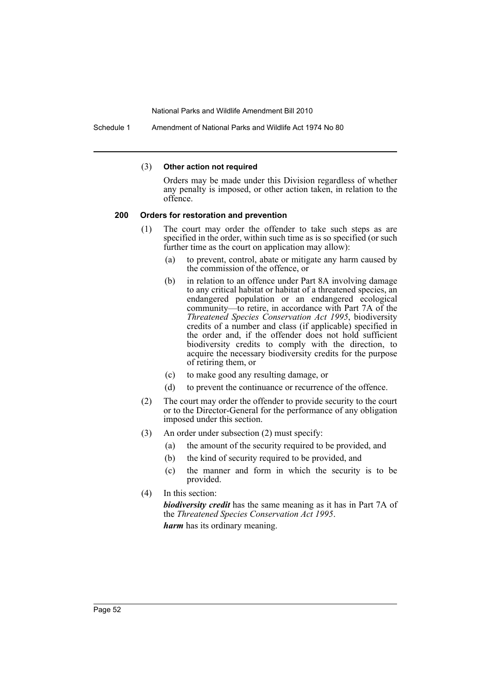Schedule 1 Amendment of National Parks and Wildlife Act 1974 No 80

#### (3) **Other action not required**

Orders may be made under this Division regardless of whether any penalty is imposed, or other action taken, in relation to the offence.

#### **200 Orders for restoration and prevention**

- (1) The court may order the offender to take such steps as are specified in the order, within such time as is so specified (or such further time as the court on application may allow):
	- (a) to prevent, control, abate or mitigate any harm caused by the commission of the offence, or
	- (b) in relation to an offence under Part 8A involving damage to any critical habitat or habitat of a threatened species, an endangered population or an endangered ecological community—to retire, in accordance with Part 7A of the *Threatened Species Conservation Act 1995*, biodiversity credits of a number and class (if applicable) specified in the order and, if the offender does not hold sufficient biodiversity credits to comply with the direction, to acquire the necessary biodiversity credits for the purpose of retiring them, or
	- (c) to make good any resulting damage, or
	- (d) to prevent the continuance or recurrence of the offence.
- (2) The court may order the offender to provide security to the court or to the Director-General for the performance of any obligation imposed under this section.
- (3) An order under subsection (2) must specify:
	- (a) the amount of the security required to be provided, and
	- (b) the kind of security required to be provided, and
	- (c) the manner and form in which the security is to be provided.
- (4) In this section:

*biodiversity credit* has the same meaning as it has in Part 7A of the *Threatened Species Conservation Act 1995*. *harm* has its ordinary meaning.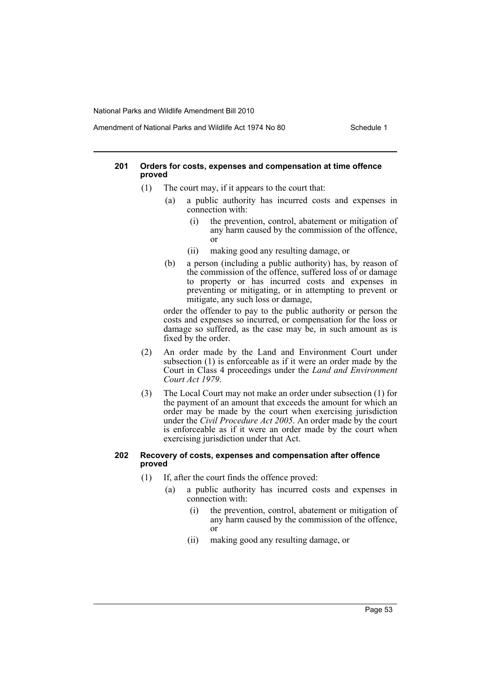#### Amendment of National Parks and Wildlife Act 1974 No 80 Schedule 1

#### **201 Orders for costs, expenses and compensation at time offence proved**

- (1) The court may, if it appears to the court that:
	- (a) a public authority has incurred costs and expenses in connection with:
		- (i) the prevention, control, abatement or mitigation of any harm caused by the commission of the offence, or
		- (ii) making good any resulting damage, or
	- (b) a person (including a public authority) has, by reason of the commission of the offence, suffered loss of or damage to property or has incurred costs and expenses in preventing or mitigating, or in attempting to prevent or mitigate, any such loss or damage,

order the offender to pay to the public authority or person the costs and expenses so incurred, or compensation for the loss or damage so suffered, as the case may be, in such amount as is fixed by the order.

- (2) An order made by the Land and Environment Court under subsection (1) is enforceable as if it were an order made by the Court in Class 4 proceedings under the *Land and Environment Court Act 1979*.
- (3) The Local Court may not make an order under subsection (1) for the payment of an amount that exceeds the amount for which an order may be made by the court when exercising jurisdiction under the *Civil Procedure Act 2005*. An order made by the court is enforceable as if it were an order made by the court when exercising jurisdiction under that Act.

#### **202 Recovery of costs, expenses and compensation after offence proved**

- (1) If, after the court finds the offence proved:
	- (a) a public authority has incurred costs and expenses in connection with:
		- (i) the prevention, control, abatement or mitigation of any harm caused by the commission of the offence, or
		- (ii) making good any resulting damage, or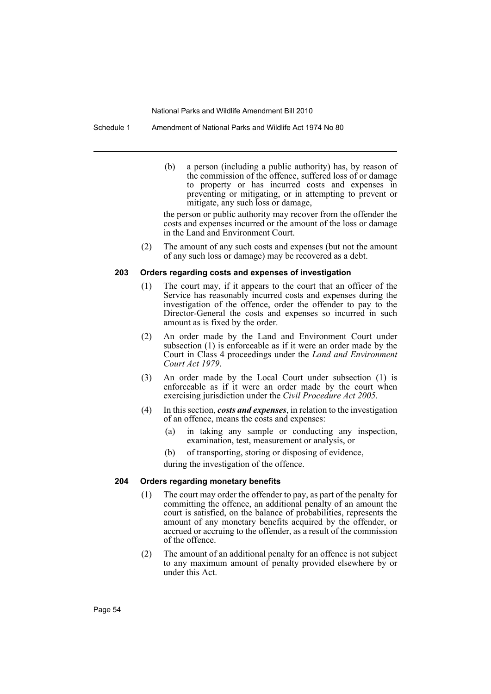Schedule 1 Amendment of National Parks and Wildlife Act 1974 No 80

(b) a person (including a public authority) has, by reason of the commission of the offence, suffered loss of or damage to property or has incurred costs and expenses in preventing or mitigating, or in attempting to prevent or mitigate, any such loss or damage,

the person or public authority may recover from the offender the costs and expenses incurred or the amount of the loss or damage in the Land and Environment Court.

(2) The amount of any such costs and expenses (but not the amount of any such loss or damage) may be recovered as a debt.

#### **203 Orders regarding costs and expenses of investigation**

- (1) The court may, if it appears to the court that an officer of the Service has reasonably incurred costs and expenses during the investigation of the offence, order the offender to pay to the Director-General the costs and expenses so incurred in such amount as is fixed by the order.
- (2) An order made by the Land and Environment Court under subsection (1) is enforceable as if it were an order made by the Court in Class 4 proceedings under the *Land and Environment Court Act 1979*.
- (3) An order made by the Local Court under subsection (1) is enforceable as if it were an order made by the court when exercising jurisdiction under the *Civil Procedure Act 2005*.
- (4) In this section, *costs and expenses*, in relation to the investigation of an offence, means the costs and expenses:
	- (a) in taking any sample or conducting any inspection, examination, test, measurement or analysis, or
	- (b) of transporting, storing or disposing of evidence,

during the investigation of the offence.

#### **204 Orders regarding monetary benefits**

- (1) The court may order the offender to pay, as part of the penalty for committing the offence, an additional penalty of an amount the court is satisfied, on the balance of probabilities, represents the amount of any monetary benefits acquired by the offender, or accrued or accruing to the offender, as a result of the commission of the offence.
- (2) The amount of an additional penalty for an offence is not subject to any maximum amount of penalty provided elsewhere by or under this Act.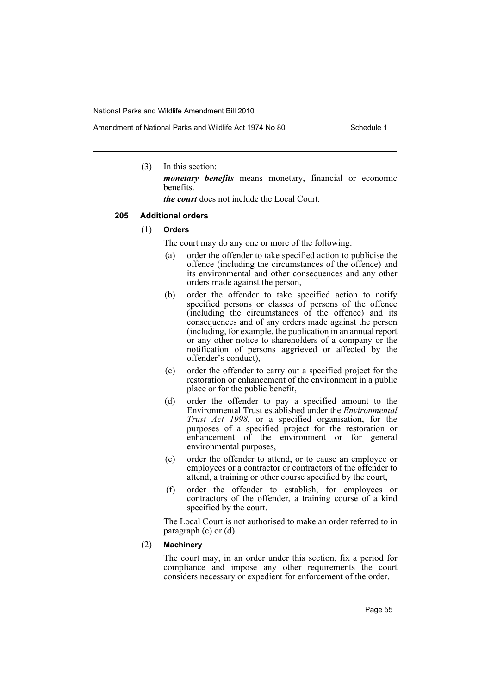(3) In this section:

*monetary benefits* means monetary, financial or economic benefits.

*the court* does not include the Local Court.

#### **205 Additional orders**

- (1) **Orders**
	- The court may do any one or more of the following:
	- (a) order the offender to take specified action to publicise the offence (including the circumstances of the offence) and its environmental and other consequences and any other orders made against the person,
	- (b) order the offender to take specified action to notify specified persons or classes of persons of the offence (including the circumstances of the offence) and its consequences and of any orders made against the person (including, for example, the publication in an annual report or any other notice to shareholders of a company or the notification of persons aggrieved or affected by the offender's conduct),
	- (c) order the offender to carry out a specified project for the restoration or enhancement of the environment in a public place or for the public benefit,
	- (d) order the offender to pay a specified amount to the Environmental Trust established under the *Environmental Trust Act 1998*, or a specified organisation, for the purposes of a specified project for the restoration or enhancement of the environment or for general environmental purposes,
	- (e) order the offender to attend, or to cause an employee or employees or a contractor or contractors of the offender to attend, a training or other course specified by the court,
	- (f) order the offender to establish, for employees or contractors of the offender, a training course of a kind specified by the court.

The Local Court is not authorised to make an order referred to in paragraph (c) or (d).

(2) **Machinery**

The court may, in an order under this section, fix a period for compliance and impose any other requirements the court considers necessary or expedient for enforcement of the order.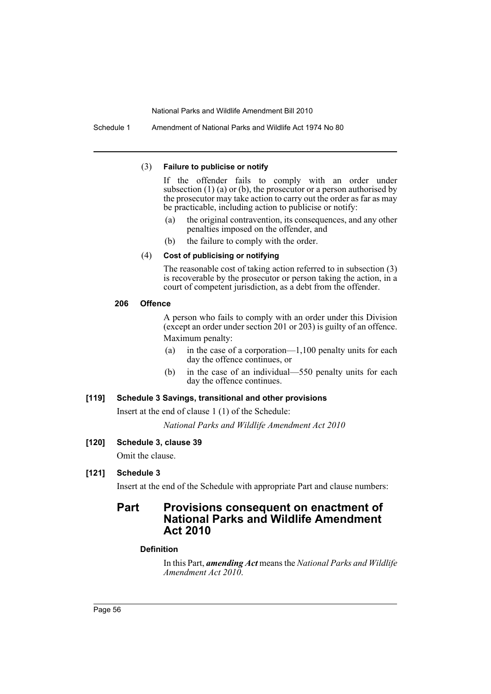Schedule 1 Amendment of National Parks and Wildlife Act 1974 No 80

#### (3) **Failure to publicise or notify**

If the offender fails to comply with an order under subsection  $(1)$   $(a)$  or  $(b)$ , the prosecutor or a person authorised by the prosecutor may take action to carry out the order as far as may be practicable, including action to publicise or notify:

- (a) the original contravention, its consequences, and any other penalties imposed on the offender, and
- (b) the failure to comply with the order.

### (4) **Cost of publicising or notifying**

The reasonable cost of taking action referred to in subsection (3) is recoverable by the prosecutor or person taking the action, in a court of competent jurisdiction, as a debt from the offender.

## **206 Offence**

A person who fails to comply with an order under this Division (except an order under section 201 or 203) is guilty of an offence. Maximum penalty:

- (a) in the case of a corporation—1,100 penalty units for each day the offence continues, or
- (b) in the case of an individual—550 penalty units for each day the offence continues.

## **[119] Schedule 3 Savings, transitional and other provisions**

Insert at the end of clause 1 (1) of the Schedule:

*National Parks and Wildlife Amendment Act 2010*

## **[120] Schedule 3, clause 39**

Omit the clause.

# **[121] Schedule 3**

Insert at the end of the Schedule with appropriate Part and clause numbers:

# **Part Provisions consequent on enactment of National Parks and Wildlife Amendment Act 2010**

## **Definition**

In this Part, *amending Act* means the *National Parks and Wildlife Amendment Act 2010*.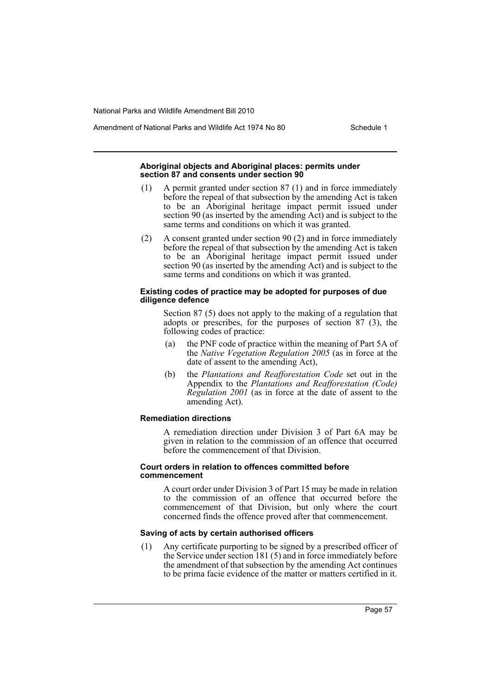Amendment of National Parks and Wildlife Act 1974 No 80 Schedule 1

#### **Aboriginal objects and Aboriginal places: permits under section 87 and consents under section 90**

- (1) A permit granted under section 87 (1) and in force immediately before the repeal of that subsection by the amending Act is taken to be an Aboriginal heritage impact permit issued under section 90 (as inserted by the amending Act) and is subject to the same terms and conditions on which it was granted.
- (2) A consent granted under section 90 (2) and in force immediately before the repeal of that subsection by the amending Act is taken to be an Aboriginal heritage impact permit issued under section 90 (as inserted by the amending Act) and is subject to the same terms and conditions on which it was granted.

#### **Existing codes of practice may be adopted for purposes of due diligence defence**

Section 87 (5) does not apply to the making of a regulation that adopts or prescribes, for the purposes of section 87 (3), the following codes of practice:

- (a) the PNF code of practice within the meaning of Part 5A of the *Native Vegetation Regulation 2005* (as in force at the date of assent to the amending Act),
- (b) the *Plantations and Reafforestation Code* set out in the Appendix to the *Plantations and Reafforestation (Code) Regulation 2001* (as in force at the date of assent to the amending Act).

#### **Remediation directions**

A remediation direction under Division 3 of Part 6A may be given in relation to the commission of an offence that occurred before the commencement of that Division.

#### **Court orders in relation to offences committed before commencement**

A court order under Division 3 of Part 15 may be made in relation to the commission of an offence that occurred before the commencement of that Division, but only where the court concerned finds the offence proved after that commencement.

## **Saving of acts by certain authorised officers**

(1) Any certificate purporting to be signed by a prescribed officer of the Service under section 181 (5) and in force immediately before the amendment of that subsection by the amending Act continues to be prima facie evidence of the matter or matters certified in it.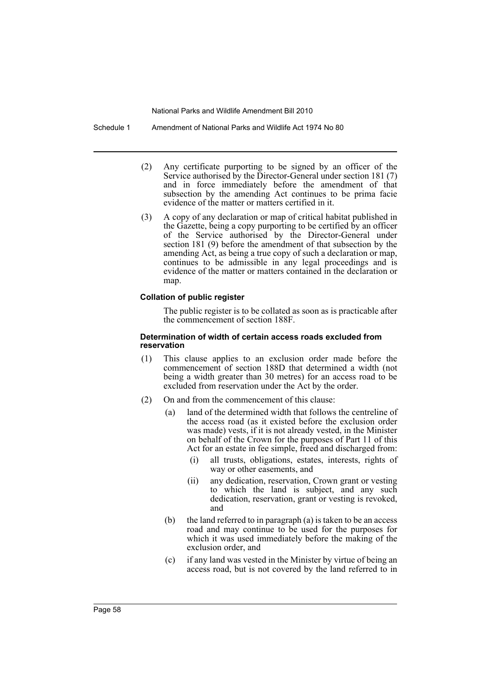Schedule 1 Amendment of National Parks and Wildlife Act 1974 No 80

- (2) Any certificate purporting to be signed by an officer of the Service authorised by the Director-General under section 181 (7) and in force immediately before the amendment of that subsection by the amending Act continues to be prima facie evidence of the matter or matters certified in it.
- (3) A copy of any declaration or map of critical habitat published in the Gazette, being a copy purporting to be certified by an officer of the Service authorised by the Director-General under section 181 (9) before the amendment of that subsection by the amending Act, as being a true copy of such a declaration or map, continues to be admissible in any legal proceedings and is evidence of the matter or matters contained in the declaration or map.

#### **Collation of public register**

The public register is to be collated as soon as is practicable after the commencement of section 188F.

#### **Determination of width of certain access roads excluded from reservation**

- (1) This clause applies to an exclusion order made before the commencement of section 188D that determined a width (not being a width greater than 30 metres) for an access road to be excluded from reservation under the Act by the order.
- (2) On and from the commencement of this clause:
	- (a) land of the determined width that follows the centreline of the access road (as it existed before the exclusion order was made) vests, if it is not already vested, in the Minister on behalf of the Crown for the purposes of Part 11 of this Act for an estate in fee simple, freed and discharged from:
		- (i) all trusts, obligations, estates, interests, rights of way or other easements, and
		- (ii) any dedication, reservation, Crown grant or vesting to which the land is subject, and any such dedication, reservation, grant or vesting is revoked, and
	- (b) the land referred to in paragraph (a) is taken to be an access road and may continue to be used for the purposes for which it was used immediately before the making of the exclusion order, and
	- (c) if any land was vested in the Minister by virtue of being an access road, but is not covered by the land referred to in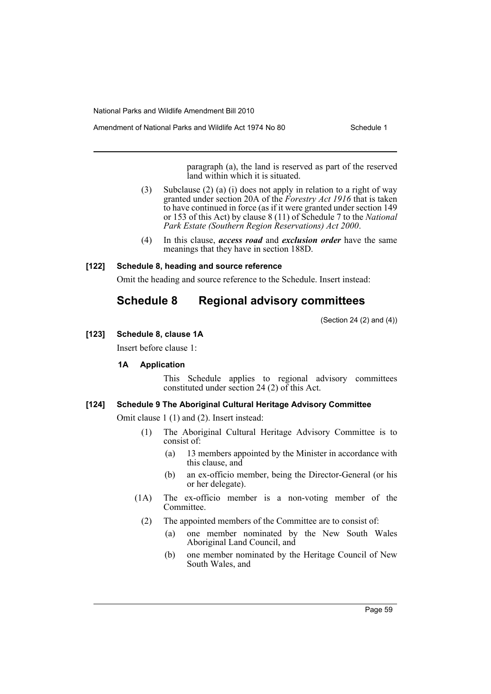Amendment of National Parks and Wildlife Act 1974 No 80 Schedule 1

paragraph (a), the land is reserved as part of the reserved land within which it is situated.

- (3) Subclause (2) (a) (i) does not apply in relation to a right of way granted under section 20A of the *Forestry Act 1916* that is taken to have continued in force (as if it were granted under section 149 or 153 of this Act) by clause 8 (11) of Schedule 7 to the *National Park Estate (Southern Region Reservations) Act 2000*.
- (4) In this clause, *access road* and *exclusion order* have the same meanings that they have in section 188D.

## **[122] Schedule 8, heading and source reference**

Omit the heading and source reference to the Schedule. Insert instead:

# **Schedule 8 Regional advisory committees**

(Section 24 (2) and (4))

## **[123] Schedule 8, clause 1A**

Insert before clause 1:

## **1A Application**

This Schedule applies to regional advisory committees constituted under section 24 (2) of this Act.

## **[124] Schedule 9 The Aboriginal Cultural Heritage Advisory Committee**

Omit clause 1 (1) and (2). Insert instead:

- (1) The Aboriginal Cultural Heritage Advisory Committee is to consist of:
	- (a) 13 members appointed by the Minister in accordance with this clause, and
	- (b) an ex-officio member, being the Director-General (or his or her delegate).
- (1A) The ex-officio member is a non-voting member of the Committee.
	- (2) The appointed members of the Committee are to consist of:
		- (a) one member nominated by the New South Wales Aboriginal Land Council, and
		- (b) one member nominated by the Heritage Council of New South Wales, and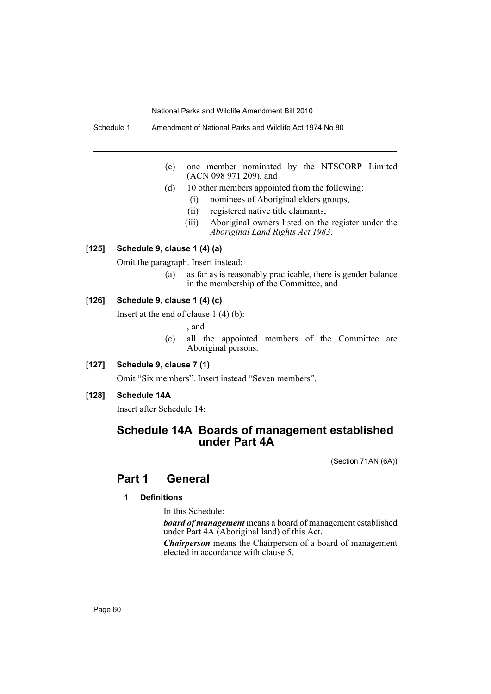Schedule 1 Amendment of National Parks and Wildlife Act 1974 No 80

- (c) one member nominated by the NTSCORP Limited (ACN 098 971 209), and
- (d) 10 other members appointed from the following:
	- (i) nominees of Aboriginal elders groups,
	- (ii) registered native title claimants,
	- (iii) Aboriginal owners listed on the register under the *Aboriginal Land Rights Act 1983*.

## **[125] Schedule 9, clause 1 (4) (a)**

Omit the paragraph. Insert instead:

(a) as far as is reasonably practicable, there is gender balance in the membership of the Committee, and

#### **[126] Schedule 9, clause 1 (4) (c)**

Insert at the end of clause 1 (4) (b):

, and

- (c) all the appointed members of the Committee are Aboriginal persons.
- **[127] Schedule 9, clause 7 (1)**

Omit "Six members". Insert instead "Seven members".

**[128] Schedule 14A**

Insert after Schedule 14:

# **Schedule 14A Boards of management established under Part 4A**

(Section 71AN (6A))

# **Part 1 General**

## **1 Definitions**

In this Schedule:

*board of management* means a board of management established under Part 4A (Aboriginal land) of this Act.

*Chairperson* means the Chairperson of a board of management elected in accordance with clause 5.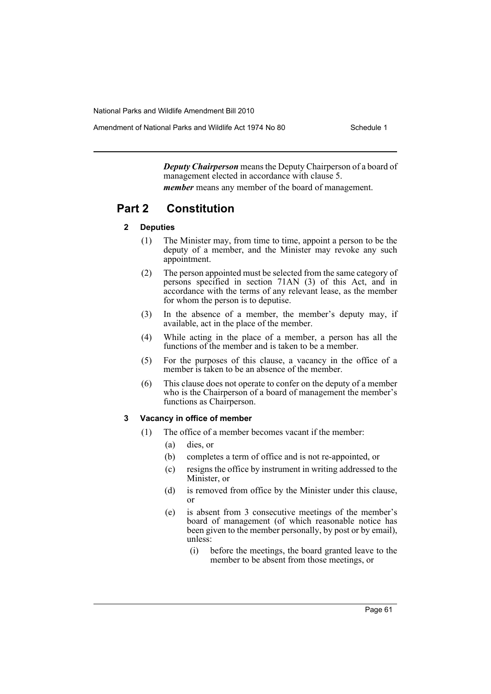Amendment of National Parks and Wildlife Act 1974 No 80 Schedule 1

*Deputy Chairperson* means the Deputy Chairperson of a board of management elected in accordance with clause 5. *member* means any member of the board of management.

# **Part 2 Constitution**

## **2 Deputies**

- (1) The Minister may, from time to time, appoint a person to be the deputy of a member, and the Minister may revoke any such appointment.
- (2) The person appointed must be selected from the same category of persons specified in section 71AN (3) of this Act, and in accordance with the terms of any relevant lease, as the member for whom the person is to deputise.
- (3) In the absence of a member, the member's deputy may, if available, act in the place of the member.
- (4) While acting in the place of a member, a person has all the functions of the member and is taken to be a member.
- (5) For the purposes of this clause, a vacancy in the office of a member is taken to be an absence of the member.
- (6) This clause does not operate to confer on the deputy of a member who is the Chairperson of a board of management the member's functions as Chairperson.

## **3 Vacancy in office of member**

- (1) The office of a member becomes vacant if the member:
	- (a) dies, or
	- (b) completes a term of office and is not re-appointed, or
	- (c) resigns the office by instrument in writing addressed to the Minister, or
	- (d) is removed from office by the Minister under this clause, or
	- (e) is absent from 3 consecutive meetings of the member's board of management (of which reasonable notice has been given to the member personally, by post or by email), unless:
		- (i) before the meetings, the board granted leave to the member to be absent from those meetings, or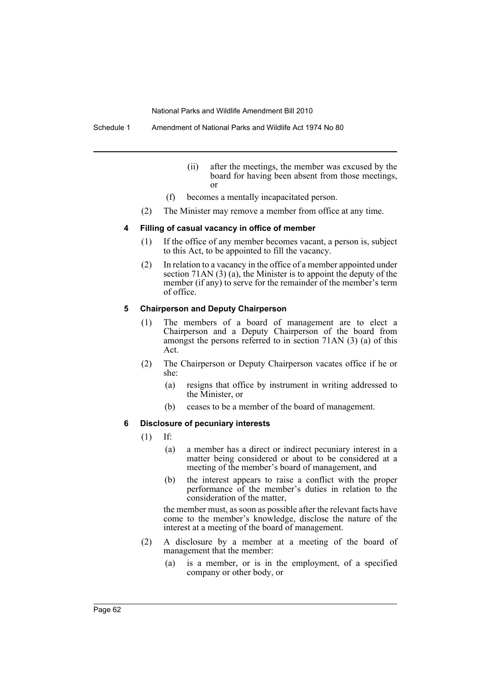Schedule 1 Amendment of National Parks and Wildlife Act 1974 No 80

- (ii) after the meetings, the member was excused by the board for having been absent from those meetings, or
- (f) becomes a mentally incapacitated person.
- (2) The Minister may remove a member from office at any time.

#### **4 Filling of casual vacancy in office of member**

- (1) If the office of any member becomes vacant, a person is, subject to this Act, to be appointed to fill the vacancy.
- (2) In relation to a vacancy in the office of a member appointed under section 71AN (3) (a), the Minister is to appoint the deputy of the member (if any) to serve for the remainder of the member's term of office.

#### **5 Chairperson and Deputy Chairperson**

- (1) The members of a board of management are to elect a Chairperson and a Deputy Chairperson of the board from amongst the persons referred to in section 71AN (3) (a) of this Act.
- (2) The Chairperson or Deputy Chairperson vacates office if he or she:
	- (a) resigns that office by instrument in writing addressed to the Minister, or
	- (b) ceases to be a member of the board of management.

#### **6 Disclosure of pecuniary interests**

(1) If:

- (a) a member has a direct or indirect pecuniary interest in a matter being considered or about to be considered at a meeting of the member's board of management, and
- (b) the interest appears to raise a conflict with the proper performance of the member's duties in relation to the consideration of the matter,

the member must, as soon as possible after the relevant facts have come to the member's knowledge, disclose the nature of the interest at a meeting of the board of management.

- (2) A disclosure by a member at a meeting of the board of management that the member:
	- (a) is a member, or is in the employment, of a specified company or other body, or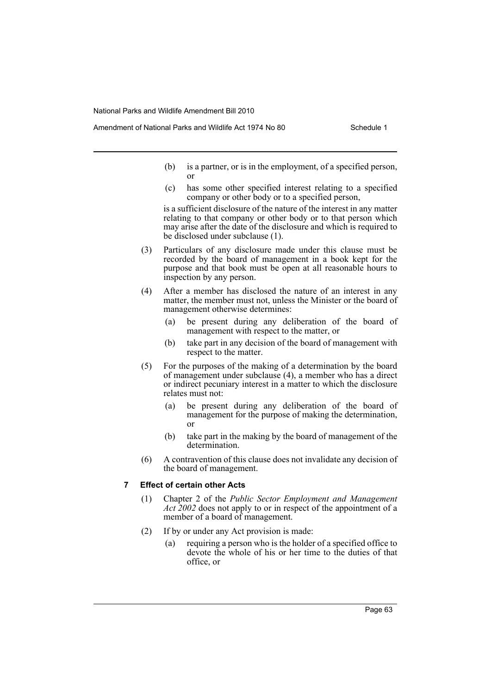- Amendment of National Parks and Wildlife Act 1974 No 80 Schedule 1
	- (b) is a partner, or is in the employment, of a specified person, or
	- (c) has some other specified interest relating to a specified company or other body or to a specified person,

is a sufficient disclosure of the nature of the interest in any matter relating to that company or other body or to that person which may arise after the date of the disclosure and which is required to be disclosed under subclause (1).

- (3) Particulars of any disclosure made under this clause must be recorded by the board of management in a book kept for the purpose and that book must be open at all reasonable hours to inspection by any person.
- (4) After a member has disclosed the nature of an interest in any matter, the member must not, unless the Minister or the board of management otherwise determines:
	- (a) be present during any deliberation of the board of management with respect to the matter, or
	- (b) take part in any decision of the board of management with respect to the matter.
- (5) For the purposes of the making of a determination by the board of management under subclause (4), a member who has a direct or indirect pecuniary interest in a matter to which the disclosure relates must not:
	- (a) be present during any deliberation of the board of management for the purpose of making the determination, or
	- (b) take part in the making by the board of management of the determination.
- (6) A contravention of this clause does not invalidate any decision of the board of management.

## **7 Effect of certain other Acts**

- (1) Chapter 2 of the *Public Sector Employment and Management Act 2002* does not apply to or in respect of the appointment of a member of a board of management.
- (2) If by or under any Act provision is made:
	- (a) requiring a person who is the holder of a specified office to devote the whole of his or her time to the duties of that office, or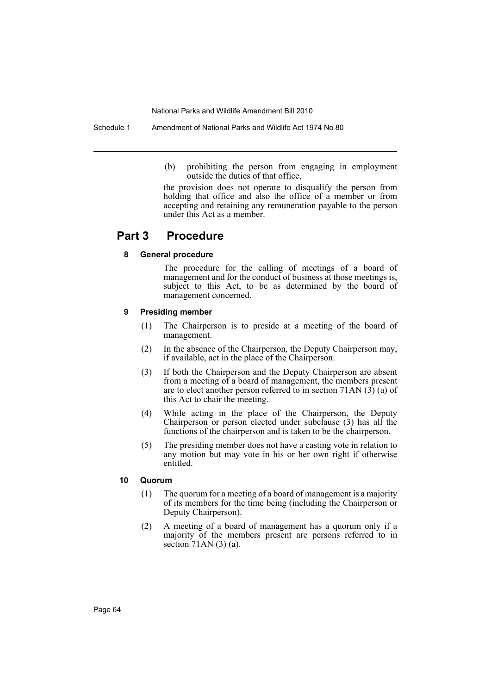Schedule 1 Amendment of National Parks and Wildlife Act 1974 No 80

(b) prohibiting the person from engaging in employment outside the duties of that office,

the provision does not operate to disqualify the person from holding that office and also the office of a member or from accepting and retaining any remuneration payable to the person under this Act as a member.

# **Part 3 Procedure**

## **8 General procedure**

The procedure for the calling of meetings of a board of management and for the conduct of business at those meetings is, subject to this Act, to be as determined by the board of management concerned.

### **9 Presiding member**

- (1) The Chairperson is to preside at a meeting of the board of management.
- (2) In the absence of the Chairperson, the Deputy Chairperson may, if available, act in the place of the Chairperson.
- (3) If both the Chairperson and the Deputy Chairperson are absent from a meeting of a board of management, the members present are to elect another person referred to in section 71AN (3) (a) of this Act to chair the meeting.
- (4) While acting in the place of the Chairperson, the Deputy Chairperson or person elected under subclause (3) has all the functions of the chairperson and is taken to be the chairperson.
- (5) The presiding member does not have a casting vote in relation to any motion but may vote in his or her own right if otherwise entitled.

## **10 Quorum**

- (1) The quorum for a meeting of a board of management is a majority of its members for the time being (including the Chairperson or Deputy Chairperson).
- (2) A meeting of a board of management has a quorum only if a majority of the members present are persons referred to in section 71AN (3) (a).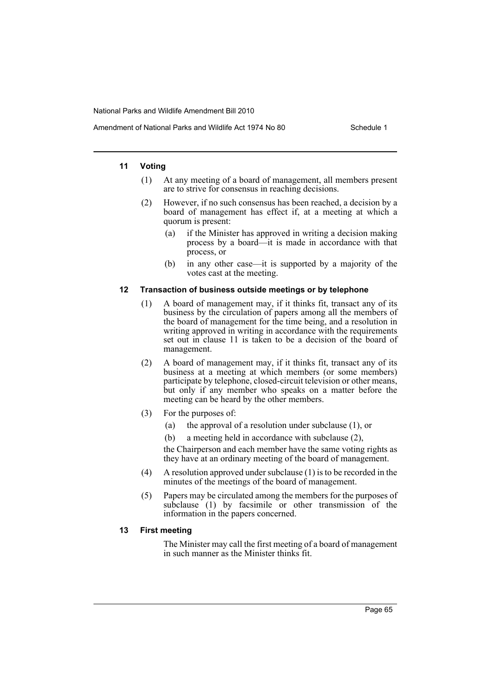#### **11 Voting**

- (1) At any meeting of a board of management, all members present are to strive for consensus in reaching decisions.
- (2) However, if no such consensus has been reached, a decision by a board of management has effect if, at a meeting at which a quorum is present:
	- (a) if the Minister has approved in writing a decision making process by a board—it is made in accordance with that process, or
	- (b) in any other case—it is supported by a majority of the votes cast at the meeting.

#### **12 Transaction of business outside meetings or by telephone**

- (1) A board of management may, if it thinks fit, transact any of its business by the circulation of papers among all the members of the board of management for the time being, and a resolution in writing approved in writing in accordance with the requirements set out in clause 11 is taken to be a decision of the board of management.
- (2) A board of management may, if it thinks fit, transact any of its business at a meeting at which members (or some members) participate by telephone, closed-circuit television or other means, but only if any member who speaks on a matter before the meeting can be heard by the other members.
- (3) For the purposes of:
	- (a) the approval of a resolution under subclause (1), or
	- (b) a meeting held in accordance with subclause (2),

the Chairperson and each member have the same voting rights as they have at an ordinary meeting of the board of management.

- (4) A resolution approved under subclause (1) is to be recorded in the minutes of the meetings of the board of management.
- (5) Papers may be circulated among the members for the purposes of subclause (1) by facsimile or other transmission of the information in the papers concerned.

### **13 First meeting**

The Minister may call the first meeting of a board of management in such manner as the Minister thinks fit.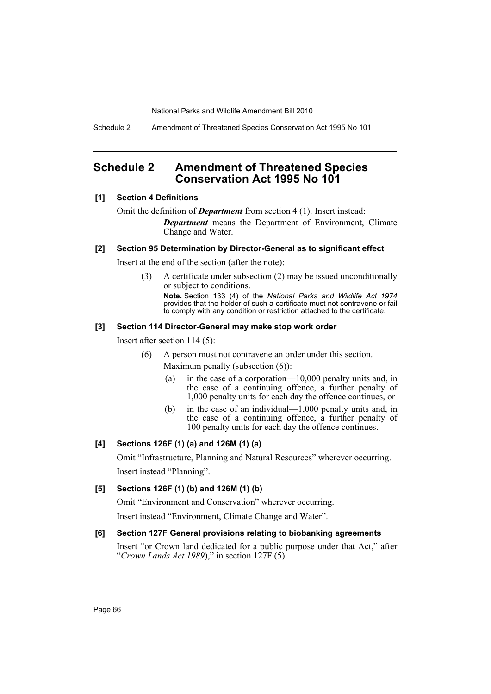Schedule 2 Amendment of Threatened Species Conservation Act 1995 No 101

# **Schedule 2 Amendment of Threatened Species Conservation Act 1995 No 101**

## **[1] Section 4 Definitions**

Omit the definition of *Department* from section 4 (1). Insert instead:

*Department* means the Department of Environment, Climate Change and Water.

## **[2] Section 95 Determination by Director-General as to significant effect**

Insert at the end of the section (after the note):

(3) A certificate under subsection (2) may be issued unconditionally or subject to conditions. **Note.** Section 133 (4) of the *National Parks and Wildlife Act 1974* provides that the holder of such a certificate must not contravene or fail

to comply with any condition or restriction attached to the certificate.

## **[3] Section 114 Director-General may make stop work order**

Insert after section 114 (5):

- (6) A person must not contravene an order under this section. Maximum penalty (subsection (6)):
	- (a) in the case of a corporation—10,000 penalty units and, in the case of a continuing offence, a further penalty of 1,000 penalty units for each day the offence continues, or
	- (b) in the case of an individual—1,000 penalty units and, in the case of a continuing offence, a further penalty of 100 penalty units for each day the offence continues.

## **[4] Sections 126F (1) (a) and 126M (1) (a)**

Omit "Infrastructure, Planning and Natural Resources" wherever occurring. Insert instead "Planning".

## **[5] Sections 126F (1) (b) and 126M (1) (b)**

Omit "Environment and Conservation" wherever occurring.

Insert instead "Environment, Climate Change and Water".

## **[6] Section 127F General provisions relating to biobanking agreements**

Insert "or Crown land dedicated for a public purpose under that Act," after "*Crown Lands Act 1989*)," in section 127F (5).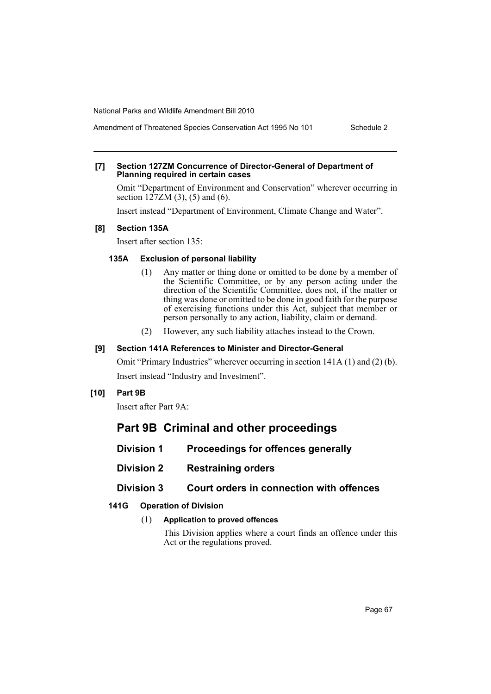Amendment of Threatened Species Conservation Act 1995 No 101 Schedule 2

# **[7] Section 127ZM Concurrence of Director-General of Department of Planning required in certain cases**

Omit "Department of Environment and Conservation" wherever occurring in section  $127ZM(3)$ , (5) and (6).

Insert instead "Department of Environment, Climate Change and Water".

### **[8] Section 135A**

Insert after section 135:

## **135A Exclusion of personal liability**

- (1) Any matter or thing done or omitted to be done by a member of the Scientific Committee, or by any person acting under the direction of the Scientific Committee, does not, if the matter or thing was done or omitted to be done in good faith for the purpose of exercising functions under this Act, subject that member or person personally to any action, liability, claim or demand.
- (2) However, any such liability attaches instead to the Crown.

### **[9] Section 141A References to Minister and Director-General**

Omit "Primary Industries" wherever occurring in section 141A (1) and (2) (b). Insert instead "Industry and Investment".

## **[10] Part 9B**

Insert after Part 9A:

# **Part 9B Criminal and other proceedings**

- **Division 1 Proceedings for offences generally**
- **Division 2 Restraining orders**

## **Division 3 Court orders in connection with offences**

## **141G Operation of Division**

## (1) **Application to proved offences**

This Division applies where a court finds an offence under this Act or the regulations proved.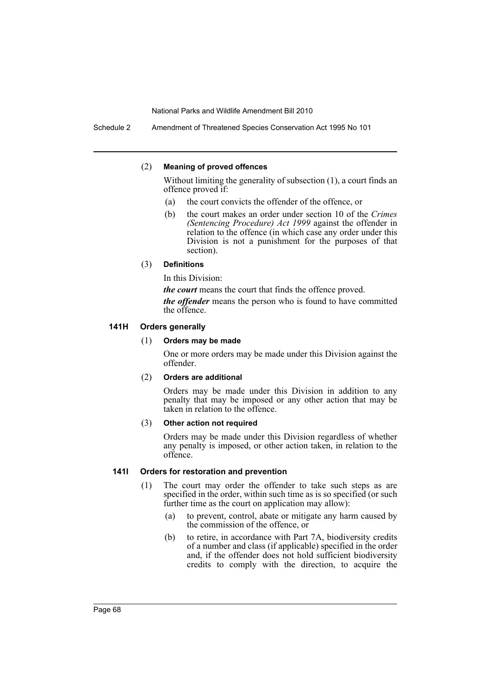Schedule 2 Amendment of Threatened Species Conservation Act 1995 No 101

#### (2) **Meaning of proved offences**

Without limiting the generality of subsection (1), a court finds an offence proved if:

- (a) the court convicts the offender of the offence, or
- (b) the court makes an order under section 10 of the *Crimes (Sentencing Procedure) Act 1999* against the offender in relation to the offence (in which case any order under this Division is not a punishment for the purposes of that section).

#### (3) **Definitions**

In this Division:

*the court* means the court that finds the offence proved.

*the offender* means the person who is found to have committed the offence.

#### **141H Orders generally**

#### (1) **Orders may be made**

One or more orders may be made under this Division against the offender.

### (2) **Orders are additional**

Orders may be made under this Division in addition to any penalty that may be imposed or any other action that may be taken in relation to the offence.

#### (3) **Other action not required**

Orders may be made under this Division regardless of whether any penalty is imposed, or other action taken, in relation to the offence.

#### **141I Orders for restoration and prevention**

- (1) The court may order the offender to take such steps as are specified in the order, within such time as is so specified (or such further time as the court on application may allow):
	- (a) to prevent, control, abate or mitigate any harm caused by the commission of the offence, or
	- (b) to retire, in accordance with Part 7A, biodiversity credits of a number and class (if applicable) specified in the order and, if the offender does not hold sufficient biodiversity credits to comply with the direction, to acquire the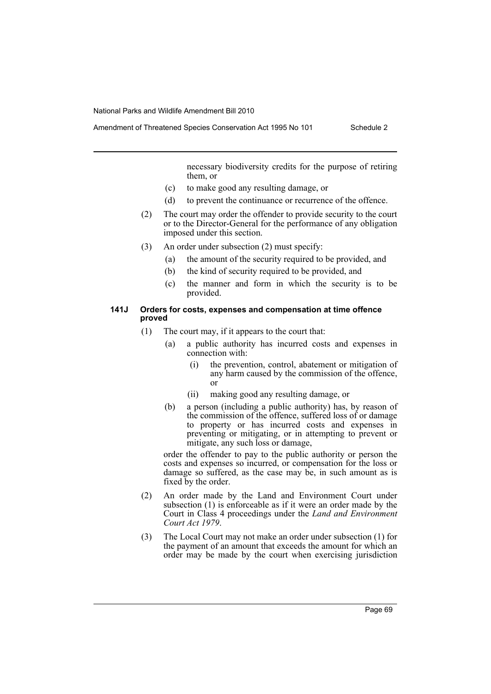Amendment of Threatened Species Conservation Act 1995 No 101 Schedule 2

necessary biodiversity credits for the purpose of retiring them, or

- (c) to make good any resulting damage, or
- (d) to prevent the continuance or recurrence of the offence.
- (2) The court may order the offender to provide security to the court or to the Director-General for the performance of any obligation imposed under this section.
- (3) An order under subsection (2) must specify:
	- (a) the amount of the security required to be provided, and
	- (b) the kind of security required to be provided, and
	- (c) the manner and form in which the security is to be provided.

#### **141J Orders for costs, expenses and compensation at time offence proved**

- (1) The court may, if it appears to the court that:
	- (a) a public authority has incurred costs and expenses in connection with:
		- (i) the prevention, control, abatement or mitigation of any harm caused by the commission of the offence, or
		- (ii) making good any resulting damage, or
	- (b) a person (including a public authority) has, by reason of the commission of the offence, suffered loss of or damage to property or has incurred costs and expenses in preventing or mitigating, or in attempting to prevent or mitigate, any such loss or damage,

order the offender to pay to the public authority or person the costs and expenses so incurred, or compensation for the loss or damage so suffered, as the case may be, in such amount as is fixed by the order.

- (2) An order made by the Land and Environment Court under subsection (1) is enforceable as if it were an order made by the Court in Class 4 proceedings under the *Land and Environment Court Act 1979*.
- (3) The Local Court may not make an order under subsection (1) for the payment of an amount that exceeds the amount for which an order may be made by the court when exercising jurisdiction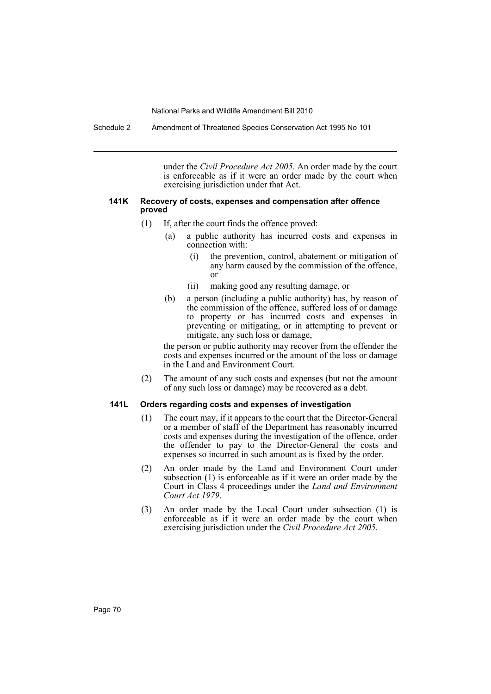Schedule 2 Amendment of Threatened Species Conservation Act 1995 No 101

under the *Civil Procedure Act 2005*. An order made by the court is enforceable as if it were an order made by the court when exercising jurisdiction under that Act.

#### **141K Recovery of costs, expenses and compensation after offence proved**

- (1) If, after the court finds the offence proved:
	- (a) a public authority has incurred costs and expenses in connection with:
		- (i) the prevention, control, abatement or mitigation of any harm caused by the commission of the offence, or
		- (ii) making good any resulting damage, or
	- (b) a person (including a public authority) has, by reason of the commission of the offence, suffered loss of or damage to property or has incurred costs and expenses in preventing or mitigating, or in attempting to prevent or mitigate, any such loss or damage,

the person or public authority may recover from the offender the costs and expenses incurred or the amount of the loss or damage in the Land and Environment Court.

(2) The amount of any such costs and expenses (but not the amount of any such loss or damage) may be recovered as a debt.

#### **141L Orders regarding costs and expenses of investigation**

- (1) The court may, if it appears to the court that the Director-General or a member of staff of the Department has reasonably incurred costs and expenses during the investigation of the offence, order the offender to pay to the Director-General the costs and expenses so incurred in such amount as is fixed by the order.
- (2) An order made by the Land and Environment Court under subsection (1) is enforceable as if it were an order made by the Court in Class 4 proceedings under the *Land and Environment Court Act 1979*.
- (3) An order made by the Local Court under subsection (1) is enforceable as if it were an order made by the court when exercising jurisdiction under the *Civil Procedure Act 2005*.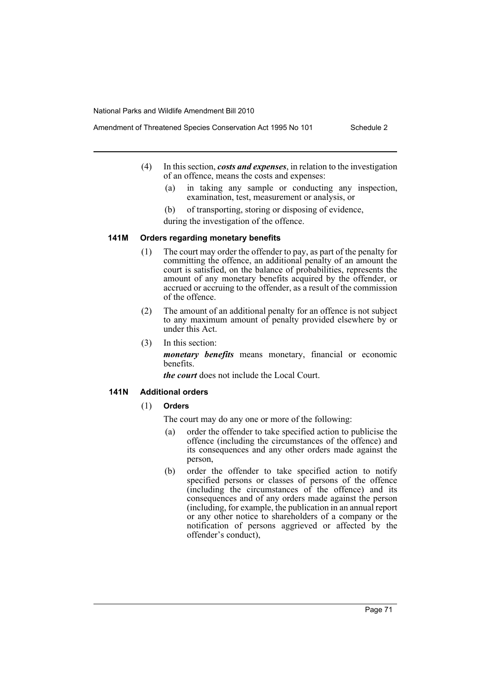- Amendment of Threatened Species Conservation Act 1995 No 101 Schedule 2
	- (4) In this section, *costs and expenses*, in relation to the investigation of an offence, means the costs and expenses:
		- (a) in taking any sample or conducting any inspection, examination, test, measurement or analysis, or
		- (b) of transporting, storing or disposing of evidence, during the investigation of the offence.

#### **141M Orders regarding monetary benefits**

- (1) The court may order the offender to pay, as part of the penalty for committing the offence, an additional penalty of an amount the court is satisfied, on the balance of probabilities, represents the amount of any monetary benefits acquired by the offender, or accrued or accruing to the offender, as a result of the commission of the offence.
- (2) The amount of an additional penalty for an offence is not subject to any maximum amount of penalty provided elsewhere by or under this Act.
- (3) In this section:

*monetary benefits* means monetary, financial or economic benefits.

*the court* does not include the Local Court.

## **141N Additional orders**

## (1) **Orders**

The court may do any one or more of the following:

- (a) order the offender to take specified action to publicise the offence (including the circumstances of the offence) and its consequences and any other orders made against the person,
- (b) order the offender to take specified action to notify specified persons or classes of persons of the offence  $(including<sup>+</sup> the circumstances of the office)$  and its consequences and of any orders made against the person (including, for example, the publication in an annual report or any other notice to shareholders of a company or the notification of persons aggrieved or affected by the offender's conduct),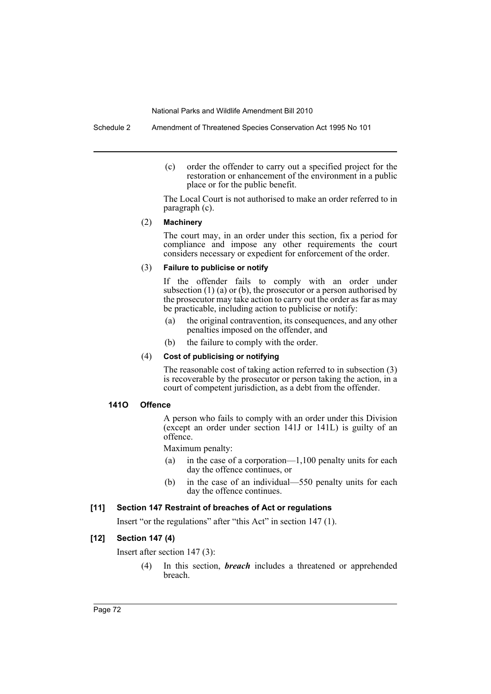Schedule 2 Amendment of Threatened Species Conservation Act 1995 No 101

(c) order the offender to carry out a specified project for the restoration or enhancement of the environment in a public place or for the public benefit.

The Local Court is not authorised to make an order referred to in paragraph (c).

## (2) **Machinery**

The court may, in an order under this section, fix a period for compliance and impose any other requirements the court considers necessary or expedient for enforcement of the order.

## (3) **Failure to publicise or notify**

If the offender fails to comply with an order under subsection  $(1)$   $(a)$  or  $(b)$ , the prosecutor or a person authorised by the prosecutor may take action to carry out the order as far as may be practicable, including action to publicise or notify:

- (a) the original contravention, its consequences, and any other penalties imposed on the offender, and
- (b) the failure to comply with the order.

## (4) **Cost of publicising or notifying**

The reasonable cost of taking action referred to in subsection (3) is recoverable by the prosecutor or person taking the action, in a court of competent jurisdiction, as a debt from the offender.

### **141O Offence**

A person who fails to comply with an order under this Division (except an order under section 141J or 141L) is guilty of an offence.

Maximum penalty:

- (a) in the case of a corporation—1,100 penalty units for each day the offence continues, or
- (b) in the case of an individual—550 penalty units for each day the offence continues.

# **[11] Section 147 Restraint of breaches of Act or regulations**

Insert "or the regulations" after "this Act" in section 147 (1).

## **[12] Section 147 (4)**

Insert after section 147 (3):

(4) In this section, *breach* includes a threatened or apprehended breach.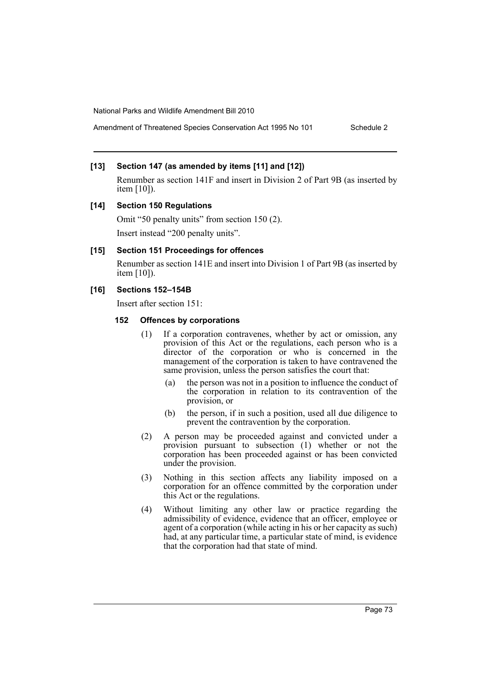Amendment of Threatened Species Conservation Act 1995 No 101 Schedule 2

## **[13] Section 147 (as amended by items [11] and [12])**

Renumber as section 141F and insert in Division 2 of Part 9B (as inserted by item [10]).

### **[14] Section 150 Regulations**

Omit "50 penalty units" from section 150 (2). Insert instead "200 penalty units".

### **[15] Section 151 Proceedings for offences**

Renumber as section 141E and insert into Division 1 of Part 9B (as inserted by item [10]).

# **[16] Sections 152–154B**

Insert after section 151:

## **152 Offences by corporations**

- (1) If a corporation contravenes, whether by act or omission, any provision of this Act or the regulations, each person who is a director of the corporation or who is concerned in the management of the corporation is taken to have contravened the same provision, unless the person satisfies the court that:
	- (a) the person was not in a position to influence the conduct of the corporation in relation to its contravention of the provision, or
	- (b) the person, if in such a position, used all due diligence to prevent the contravention by the corporation.
- (2) A person may be proceeded against and convicted under a provision pursuant to subsection (1) whether or not the corporation has been proceeded against or has been convicted under the provision.
- (3) Nothing in this section affects any liability imposed on a corporation for an offence committed by the corporation under this Act or the regulations.
- (4) Without limiting any other law or practice regarding the admissibility of evidence, evidence that an officer, employee or agent of a corporation (while acting in his or her capacity as such) had, at any particular time, a particular state of mind, is evidence that the corporation had that state of mind.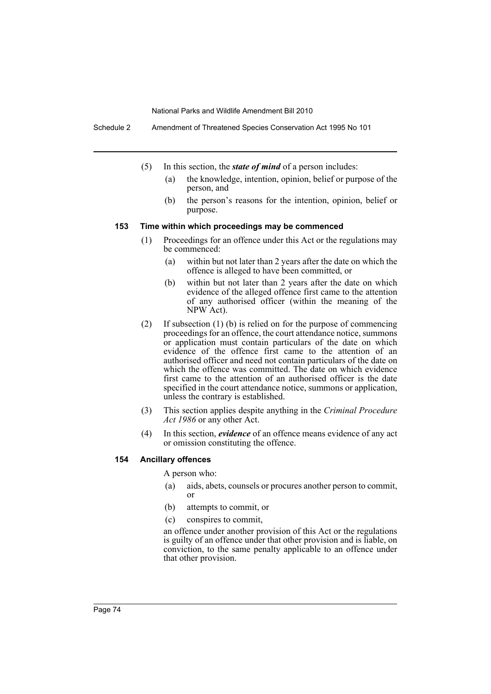Schedule 2 Amendment of Threatened Species Conservation Act 1995 No 101

- (5) In this section, the *state of mind* of a person includes:
	- (a) the knowledge, intention, opinion, belief or purpose of the person, and
	- (b) the person's reasons for the intention, opinion, belief or purpose.

### **153 Time within which proceedings may be commenced**

- (1) Proceedings for an offence under this Act or the regulations may be commenced:
	- (a) within but not later than 2 years after the date on which the offence is alleged to have been committed, or
	- (b) within but not later than 2 years after the date on which evidence of the alleged offence first came to the attention of any authorised officer (within the meaning of the NPW Act).
- (2) If subsection (1) (b) is relied on for the purpose of commencing proceedings for an offence, the court attendance notice, summons or application must contain particulars of the date on which evidence of the offence first came to the attention of an authorised officer and need not contain particulars of the date on which the offence was committed. The date on which evidence first came to the attention of an authorised officer is the date specified in the court attendance notice, summons or application, unless the contrary is established.
- (3) This section applies despite anything in the *Criminal Procedure Act 1986* or any other Act.
- (4) In this section, *evidence* of an offence means evidence of any act or omission constituting the offence.

### **154 Ancillary offences**

A person who:

- (a) aids, abets, counsels or procures another person to commit, or
- (b) attempts to commit, or
- (c) conspires to commit,

an offence under another provision of this Act or the regulations is guilty of an offence under that other provision and is liable, on conviction, to the same penalty applicable to an offence under that other provision.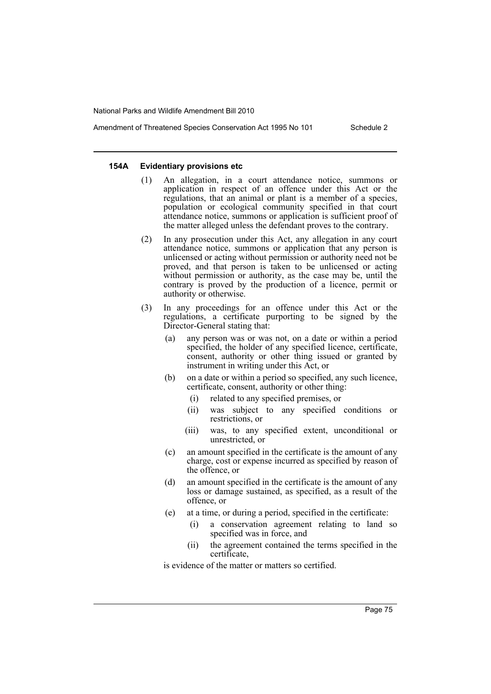### **154A Evidentiary provisions etc**

- (1) An allegation, in a court attendance notice, summons or application in respect of an offence under this Act or the regulations, that an animal or plant is a member of a species, population or ecological community specified in that court attendance notice, summons or application is sufficient proof of the matter alleged unless the defendant proves to the contrary.
- (2) In any prosecution under this Act, any allegation in any court attendance notice, summons or application that any person is unlicensed or acting without permission or authority need not be proved, and that person is taken to be unlicensed or acting without permission or authority, as the case may be, until the contrary is proved by the production of a licence, permit or authority or otherwise.
- (3) In any proceedings for an offence under this Act or the regulations, a certificate purporting to be signed by the Director-General stating that:
	- (a) any person was or was not, on a date or within a period specified, the holder of any specified licence, certificate, consent, authority or other thing issued or granted by instrument in writing under this Act, or
	- (b) on a date or within a period so specified, any such licence, certificate, consent, authority or other thing:
		- (i) related to any specified premises, or
		- (ii) was subject to any specified conditions or restrictions, or
		- (iii) was, to any specified extent, unconditional or unrestricted, or
	- (c) an amount specified in the certificate is the amount of any charge, cost or expense incurred as specified by reason of the offence, or
	- (d) an amount specified in the certificate is the amount of any loss or damage sustained, as specified, as a result of the offence, or
	- (e) at a time, or during a period, specified in the certificate:
		- (i) a conservation agreement relating to land so specified was in force, and
		- (ii) the agreement contained the terms specified in the certificate,

is evidence of the matter or matters so certified.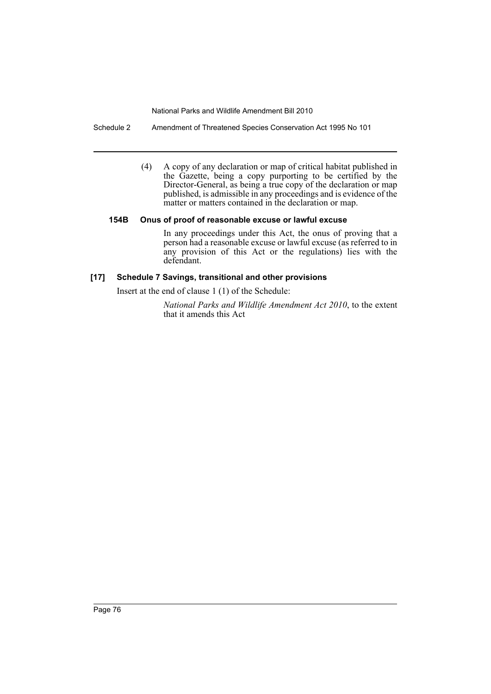Schedule 2 Amendment of Threatened Species Conservation Act 1995 No 101

(4) A copy of any declaration or map of critical habitat published in the Gazette, being a copy purporting to be certified by the Director-General, as being a true copy of the declaration or map published, is admissible in any proceedings and is evidence of the matter or matters contained in the declaration or map.

## **154B Onus of proof of reasonable excuse or lawful excuse**

In any proceedings under this Act, the onus of proving that a person had a reasonable excuse or lawful excuse (as referred to in any provision of this Act or the regulations) lies with the defendant.

## **[17] Schedule 7 Savings, transitional and other provisions**

Insert at the end of clause 1 (1) of the Schedule:

*National Parks and Wildlife Amendment Act 2010*, to the extent that it amends this Act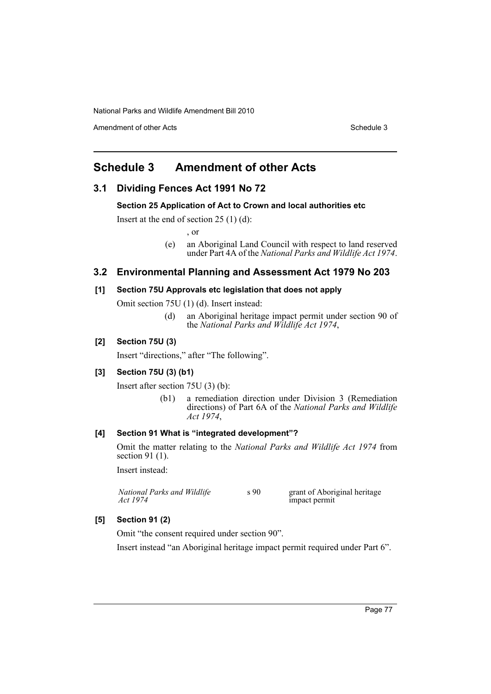Amendment of other Acts **Schedule 3** and the 3 set of the 3 set of the 3 set of the 3 set of the 3 set of the 3 set of the 3 set of the 3 set of the 3 set of the 3 set of the 3 set of the 3 set of the 3 set of the 3 set of

# **Schedule 3 Amendment of other Acts**

# **3.1 Dividing Fences Act 1991 No 72**

### **Section 25 Application of Act to Crown and local authorities etc**

Insert at the end of section  $25(1)(d)$ :

, or

(e) an Aboriginal Land Council with respect to land reserved under Part 4A of the *National Parks and Wildlife Act 1974*.

## **3.2 Environmental Planning and Assessment Act 1979 No 203**

## **[1] Section 75U Approvals etc legislation that does not apply**

Omit section 75U (1) (d). Insert instead:

(d) an Aboriginal heritage impact permit under section 90 of the *National Parks and Wildlife Act 1974*,

### **[2] Section 75U (3)**

Insert "directions," after "The following".

## **[3] Section 75U (3) (b1)**

Insert after section 75U (3) (b):

(b1) a remediation direction under Division 3 (Remediation directions) of Part 6A of the *National Parks and Wildlife Act 1974*,

## **[4] Section 91 What is "integrated development"?**

Omit the matter relating to the *National Parks and Wildlife Act 1974* from section 91 (1).

Insert instead:

| National Parks and Wildlife | s 90 | grant of Aboriginal heritage |
|-----------------------------|------|------------------------------|
| Act 1974                    |      | impact permit                |

## **[5] Section 91 (2)**

Omit "the consent required under section 90".

Insert instead "an Aboriginal heritage impact permit required under Part 6".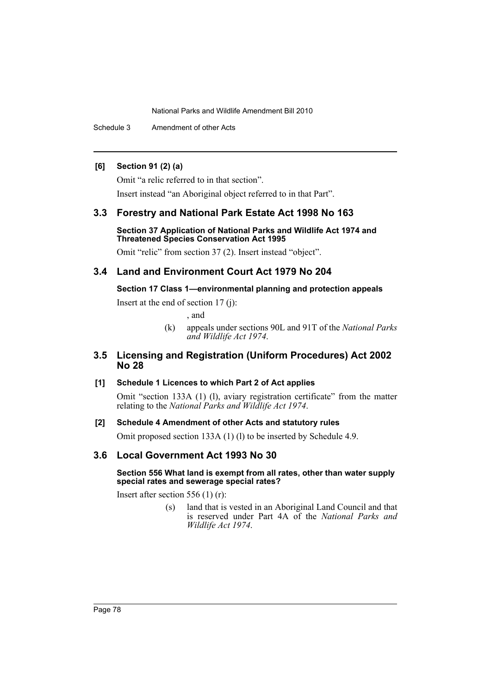Schedule 3 Amendment of other Acts

## **[6] Section 91 (2) (a)**

Omit "a relic referred to in that section".

Insert instead "an Aboriginal object referred to in that Part".

# **3.3 Forestry and National Park Estate Act 1998 No 163**

### **Section 37 Application of National Parks and Wildlife Act 1974 and Threatened Species Conservation Act 1995**

Omit "relic" from section 37 (2). Insert instead "object".

# **3.4 Land and Environment Court Act 1979 No 204**

## **Section 17 Class 1—environmental planning and protection appeals**

Insert at the end of section 17 (j):

, and

(k) appeals under sections 90L and 91T of the *National Parks and Wildlife Act 1974*.

# **3.5 Licensing and Registration (Uniform Procedures) Act 2002 No 28**

# **[1] Schedule 1 Licences to which Part 2 of Act applies**

Omit "section 133A (1) (l), aviary registration certificate" from the matter relating to the *National Parks and Wildlife Act 1974*.

## **[2] Schedule 4 Amendment of other Acts and statutory rules**

Omit proposed section 133A (1) (l) to be inserted by Schedule 4.9.

# **3.6 Local Government Act 1993 No 30**

### **Section 556 What land is exempt from all rates, other than water supply special rates and sewerage special rates?**

Insert after section 556 (1) (r):

(s) land that is vested in an Aboriginal Land Council and that is reserved under Part 4A of the *National Parks and Wildlife Act 1974*.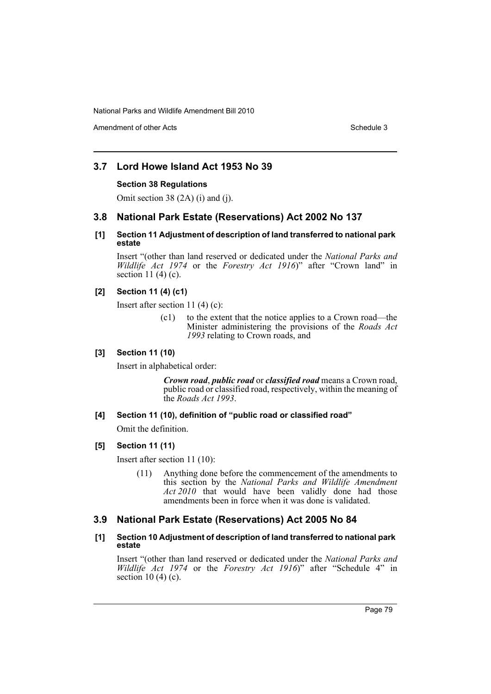Amendment of other Acts **Schedule 3** and the 3 set of the 3 set of the 3 set of the 3 set of the 3 set of the 3 set of the 3 set of the 3 set of the 3 set of the 3 set of the 3 set of the 3 set of the 3 set of the 3 set of

# **3.7 Lord Howe Island Act 1953 No 39**

## **Section 38 Regulations**

Omit section 38 (2A) (i) and (j).

# **3.8 National Park Estate (Reservations) Act 2002 No 137**

## **[1] Section 11 Adjustment of description of land transferred to national park estate**

Insert "(other than land reserved or dedicated under the *National Parks and Wildlife Act 1974* or the *Forestry Act 1916*)" after "Crown land" in section 11 $(4)$  $(c)$ .

## **[2] Section 11 (4) (c1)**

Insert after section 11 (4) (c):

(c1) to the extent that the notice applies to a Crown road—the Minister administering the provisions of the *Roads Act 1993* relating to Crown roads, and

### **[3] Section 11 (10)**

Insert in alphabetical order:

*Crown road*, *public road* or *classified road* means a Crown road, public road or classified road, respectively, within the meaning of the *Roads Act 1993*.

### **[4] Section 11 (10), definition of "public road or classified road"**

Omit the definition.

## **[5] Section 11 (11)**

Insert after section 11 (10):

(11) Anything done before the commencement of the amendments to this section by the *National Parks and Wildlife Amendment Act 2010* that would have been validly done had those amendments been in force when it was done is validated.

# **3.9 National Park Estate (Reservations) Act 2005 No 84**

## **[1] Section 10 Adjustment of description of land transferred to national park estate**

Insert "(other than land reserved or dedicated under the *National Parks and Wildlife Act 1974* or the *Forestry Act 1916*)" after "Schedule 4" in section 10 $(4)$  $(c)$ .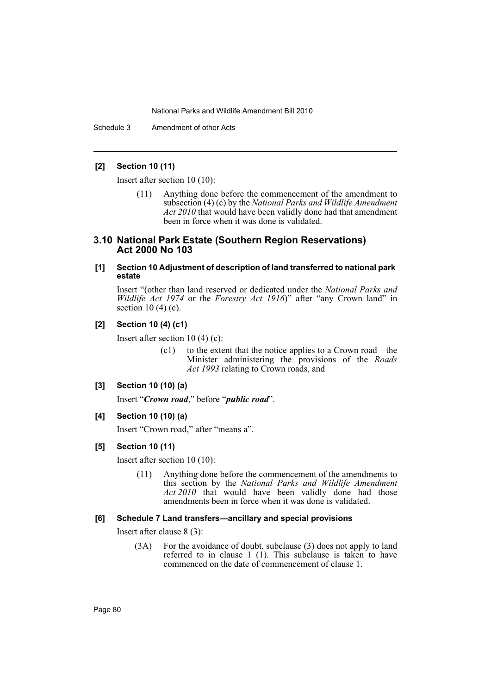Schedule 3 Amendment of other Acts

### **[2] Section 10 (11)**

Insert after section 10 (10):

(11) Anything done before the commencement of the amendment to subsection (4) (c) by the *National Parks and Wildlife Amendment Act 2010* that would have been validly done had that amendment been in force when it was done is validated.

## **3.10 National Park Estate (Southern Region Reservations) Act 2000 No 103**

### **[1] Section 10 Adjustment of description of land transferred to national park estate**

Insert "(other than land reserved or dedicated under the *National Parks and Wildlife Act 1974* or the *Forestry Act 1916*)" after "any Crown land" in section  $10(4)$  (c).

## **[2] Section 10 (4) (c1)**

Insert after section 10 (4) (c):

(c1) to the extent that the notice applies to a Crown road—the Minister administering the provisions of the *Roads Act 1993* relating to Crown roads, and

### **[3] Section 10 (10) (a)**

Insert "*Crown road*," before "*public road*".

**[4] Section 10 (10) (a)**

Insert "Crown road," after "means a".

### **[5] Section 10 (11)**

Insert after section 10 (10):

(11) Anything done before the commencement of the amendments to this section by the *National Parks and Wildlife Amendment Act 2010* that would have been validly done had those amendments been in force when it was done is validated.

### **[6] Schedule 7 Land transfers—ancillary and special provisions**

Insert after clause 8 (3):

(3A) For the avoidance of doubt, subclause (3) does not apply to land referred to in clause 1  $(1)$ . This subclause is taken to have commenced on the date of commencement of clause 1.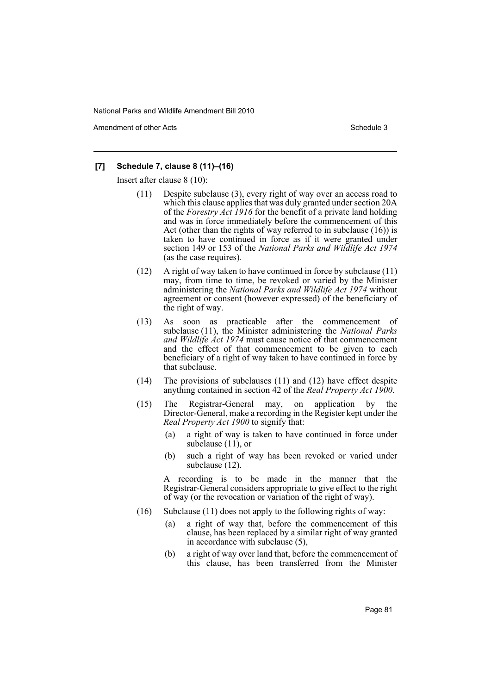Amendment of other Acts **Schedule 3** and the 3 schedule 3

## **[7] Schedule 7, clause 8 (11)–(16)**

Insert after clause 8 (10):

- (11) Despite subclause (3), every right of way over an access road to which this clause applies that was duly granted under section 20A of the *Forestry Act 1916* for the benefit of a private land holding and was in force immediately before the commencement of this Act (other than the rights of way referred to in subclause (16)) is taken to have continued in force as if it were granted under section 149 or 153 of the *National Parks and Wildlife Act 1974* (as the case requires).
- (12) A right of way taken to have continued in force by subclause (11) may, from time to time, be revoked or varied by the Minister administering the *National Parks and Wildlife Act 1974* without agreement or consent (however expressed) of the beneficiary of the right of way.
- (13) As soon as practicable after the commencement of subclause (11), the Minister administering the *National Parks and Wildlife Act 1974* must cause notice of that commencement and the effect of that commencement to be given to each beneficiary of a right of way taken to have continued in force by that subclause.
- (14) The provisions of subclauses (11) and (12) have effect despite anything contained in section 42 of the *Real Property Act 1900*.
- (15) The Registrar-General may, on application by the Director-General, make a recording in the Register kept under the *Real Property Act 1900* to signify that:
	- (a) a right of way is taken to have continued in force under subclause (11), or
	- (b) such a right of way has been revoked or varied under subclause (12).

A recording is to be made in the manner that the Registrar-General considers appropriate to give effect to the right of way (or the revocation or variation of the right of way).

- (16) Subclause (11) does not apply to the following rights of way:
	- (a) a right of way that, before the commencement of this clause, has been replaced by a similar right of way granted in accordance with subclause (5),
	- (b) a right of way over land that, before the commencement of this clause, has been transferred from the Minister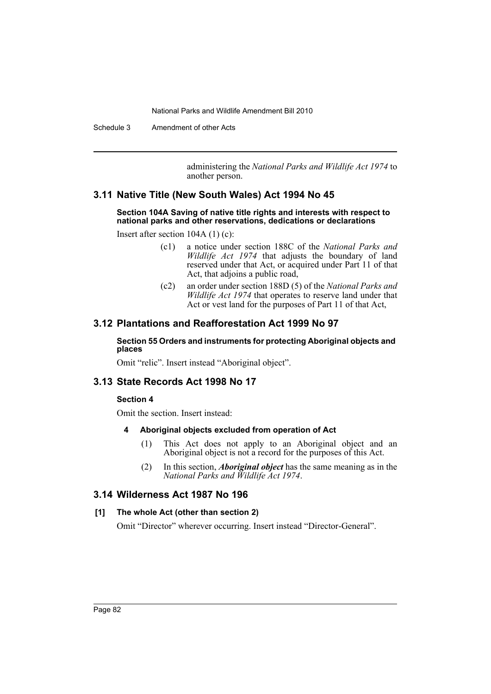Schedule 3 Amendment of other Acts

administering the *National Parks and Wildlife Act 1974* to another person.

# **3.11 Native Title (New South Wales) Act 1994 No 45**

### **Section 104A Saving of native title rights and interests with respect to national parks and other reservations, dedications or declarations**

Insert after section 104A (1) (c):

- (c1) a notice under section 188C of the *National Parks and Wildlife Act 1974* that adjusts the boundary of land reserved under that Act, or acquired under Part 11 of that Act, that adjoins a public road,
- (c2) an order under section 188D (5) of the *National Parks and Wildlife Act 1974* that operates to reserve land under that Act or vest land for the purposes of Part 11 of that Act,

# **3.12 Plantations and Reafforestation Act 1999 No 97**

### **Section 55 Orders and instruments for protecting Aboriginal objects and places**

Omit "relic". Insert instead "Aboriginal object".

## **3.13 State Records Act 1998 No 17**

### **Section 4**

Omit the section. Insert instead:

### **4 Aboriginal objects excluded from operation of Act**

- (1) This Act does not apply to an Aboriginal object and an Aboriginal object is not a record for the purposes of this Act.
- (2) In this section, *Aboriginal object* has the same meaning as in the *National Parks and Wildlife Act 1974*.

## **3.14 Wilderness Act 1987 No 196**

### **[1] The whole Act (other than section 2)**

Omit "Director" wherever occurring. Insert instead "Director-General".